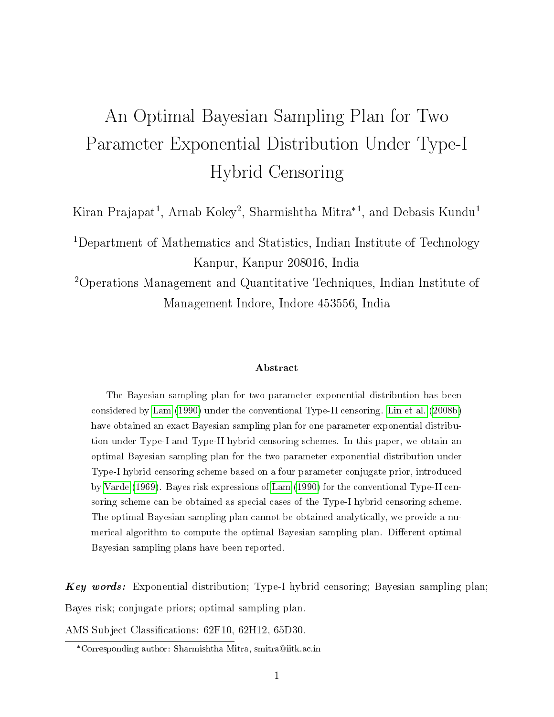# An Optimal Bayesian Sampling Plan for Two Parameter Exponential Distribution Under Type-I Hybrid Censoring

Kiran Prajapat<sup>1</sup>, Arnab Koley<sup>2</sup>, Sharmishtha Mitra<sup>\*1</sup>, and Debasis Kundu<sup>1</sup>

<sup>1</sup>Department of Mathematics and Statistics, Indian Institute of Technology Kanpur, Kanpur 208016, India

<sup>2</sup>Operations Management and Quantitative Techniques, Indian Institute of Management Indore, Indore 453556, India

#### Abstract

The Bayesian sampling plan for two parameter exponential distribution has been considered by [Lam](#page-18-0) [\(1990\)](#page-18-0) under the conventional Type-II censoring. [Lin et al.](#page-19-0) [\(2008b\)](#page-19-0) have obtained an exact Bayesian sampling plan for one parameter exponential distribution under Type-I and Type-II hybrid censoring schemes. In this paper, we obtain an optimal Bayesian sampling plan for the two parameter exponential distribution under Type-I hybrid censoring scheme based on a four parameter conjugate prior, introduced by [Varde](#page-19-1) [\(1969\)](#page-19-1). Bayes risk expressions of [Lam](#page-18-0) [\(1990\)](#page-18-0) for the conventional Type-II censoring scheme can be obtained as special cases of the Type-I hybrid censoring scheme. The optimal Bayesian sampling plan cannot be obtained analytically, we provide a numerical algorithm to compute the optimal Bayesian sampling plan. Different optimal Bayesian sampling plans have been reported.

Key words: Exponential distribution; Type-I hybrid censoring; Bayesian sampling plan; Bayes risk; conjugate priors; optimal sampling plan.

AMS Subject Classifications: 62F10, 62H12, 65D30.

<sup>\*</sup>Corresponding author: Sharmishtha Mitra, smitra@iitk.ac.in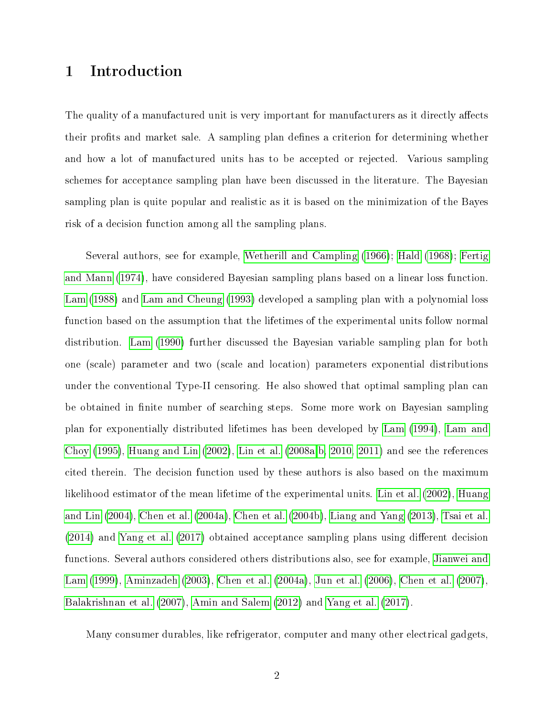#### 1 Introduction

The quality of a manufactured unit is very important for manufacturers as it directly affects their profits and market sale. A sampling plan defines a criterion for determining whether and how a lot of manufactured units has to be accepted or rejected. Various sampling schemes for acceptance sampling plan have been discussed in the literature. The Bayesian sampling plan is quite popular and realistic as it is based on the minimization of the Bayes risk of a decision function among all the sampling plans.

Several authors, see for example, [Wetherill and Campling](#page-20-0) [\(1966\)](#page-20-0); [Hald](#page-17-0) [\(1968\)](#page-17-0); [Fertig](#page-17-1) [and Mann](#page-17-1) [\(1974\)](#page-17-1), have considered Bayesian sampling plans based on a linear loss function. [Lam](#page-18-1) [\(1988\)](#page-18-1) and [Lam and Cheung](#page-18-2) [\(1993\)](#page-18-2) developed a sampling plan with a polynomial loss function based on the assumption that the lifetimes of the experimental units follow normal distribution. [Lam](#page-18-0) [\(1990\)](#page-18-0) further discussed the Bayesian variable sampling plan for both one (scale) parameter and two (scale and location) parameters exponential distributions under the conventional Type-II censoring. He also showed that optimal sampling plan can be obtained in finite number of searching steps. Some more work on Bayesian sampling plan for exponentially distributed lifetimes has been developed by [Lam](#page-18-3) [\(1994\)](#page-18-3), [Lam and](#page-18-4) [Choy](#page-18-4) [\(1995\)](#page-18-4), [Huang and Lin](#page-18-5)  $(2002)$ , [Lin et al.](#page-19-2)  $(2008a,b, 2010, 2011)$  $(2008a,b, 2010, 2011)$  $(2008a,b, 2010, 2011)$  $(2008a,b, 2010, 2011)$  and see the references cited therein. The decision function used by these authors is also based on the maximum likelihood estimator of the mean lifetime of the experimental units. [Lin et al.](#page-19-5) [\(2002\)](#page-19-5), [Huang](#page-18-6) [and Lin](#page-18-6) [\(2004\)](#page-18-6), [Chen et al.](#page-17-2) [\(2004a\)](#page-17-2), [Chen et al.](#page-17-3) [\(2004b\)](#page-17-3), [Liang and Yang](#page-19-6) [\(2013\)](#page-19-6), [Tsai et al.](#page-19-7)  $(2014)$  and [Yang et al.](#page-20-1)  $(2017)$  obtained acceptance sampling plans using different decision functions. Several authors considered others distributions also, see for example, [Jianwei and](#page-18-7) [Lam](#page-18-7) [\(1999\)](#page-18-7), [Aminzadeh](#page-16-0) [\(2003\)](#page-16-0), [Chen et al.](#page-17-2) [\(2004a\)](#page-17-2), [Jun et al.](#page-18-8) [\(2006\)](#page-18-8), [Chen et al.](#page-17-4) [\(2007\)](#page-17-4), [Balakrishnan et al.](#page-16-1) [\(2007\)](#page-16-1), [Amin and Salem](#page-16-2) [\(2012\)](#page-16-2) and [Yang et al.](#page-20-1) [\(2017\)](#page-20-1).

Many consumer durables, like refrigerator, computer and many other electrical gadgets,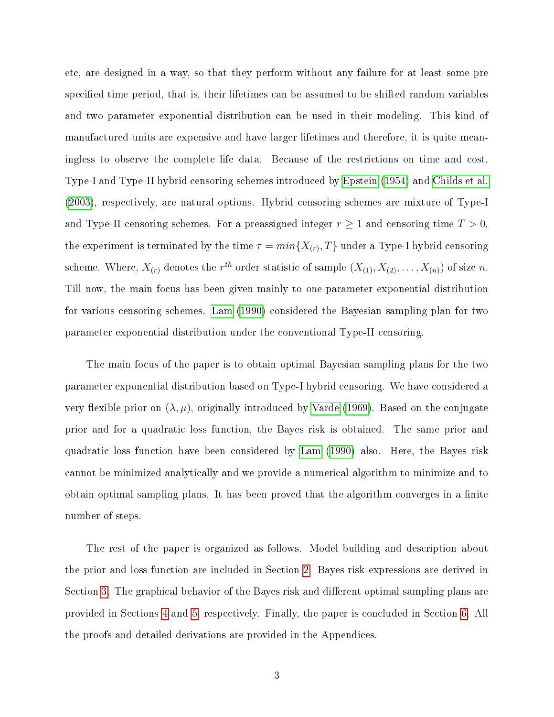etc, are designed in a way, so that they perform without any failure for at least some pre specified time period, that is, their lifetimes can be assumed to be shifted random variables and two parameter exponential distribution can be used in their modeling. This kind of manufactured units are expensive and have larger lifetimes and therefore, it is quite meaningless to observe the complete life data. Because of the restrictions on time and cost, Type-I and Type-II hybrid censoring schemes introduced by [Epstein](#page-17-5) [\(1954\)](#page-17-5) and [Childs et al.](#page-17-6) [\(2003\)](#page-17-6), respectively, are natural options. Hybrid censoring schemes are mixture of Type-I and Type-II censoring schemes. For a preassigned integer  $r \geq 1$  and censoring time  $T > 0$ , the experiment is terminated by the time  $\tau=min\{X_{(r)},T\}$  under a Type-I hybrid censoring scheme. Where,  $X_{(r)}$  denotes the  $r^{th}$  order statistic of sample  $(X_{(1)}, X_{(2)}, \ldots, X_{(n)})$  of size n. Till now, the main focus has been given mainly to one parameter exponential distribution for various censoring schemes. [Lam](#page-18-0) [\(1990\)](#page-18-0) considered the Bayesian sampling plan for two parameter exponential distribution under the conventional Type-II censoring.

The main focus of the paper is to obtain optimal Bayesian sampling plans for the two parameter exponential distribution based on Type-I hybrid censoring. We have considered a very flexible prior on  $(\lambda, \mu)$ , originally introduced by [Varde](#page-19-1) [\(1969\)](#page-19-1). Based on the conjugate prior and for a quadratic loss function, the Bayes risk is obtained. The same prior and quadratic loss function have been considered by [Lam](#page-18-0) [\(1990\)](#page-18-0) also. Here, the Bayes risk cannot be minimized analytically and we provide a numerical algorithm to minimize and to obtain optimal sampling plans. It has been proved that the algorithm converges in a finite number of steps.

The rest of the paper is organized as follows. Model building and description about the prior and loss function are included in Section [2.](#page-3-0) Bayes risk expressions are derived in Section [3.](#page-5-0) The graphical behavior of the Bayes risk and different optimal sampling plans are provided in Sections [4](#page-11-0) and [5,](#page-13-0) respectively. Finally, the paper is concluded in Section [6.](#page-15-0) All the proofs and detailed derivations are provided in the Appendices.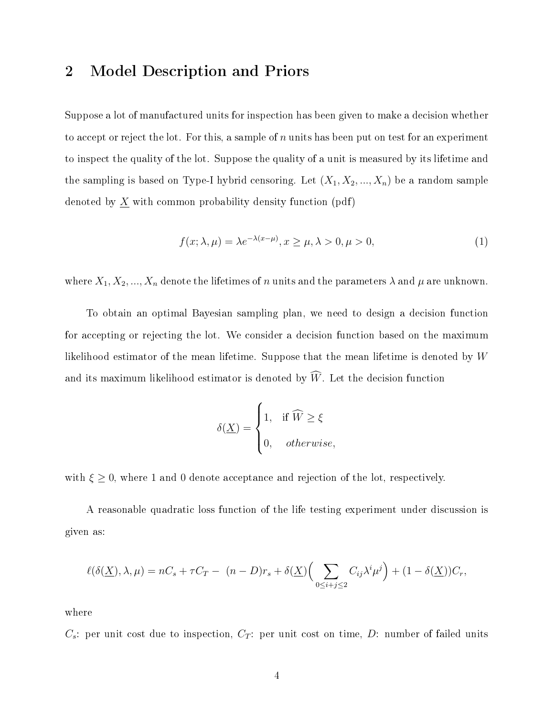#### <span id="page-3-0"></span>2 Model Description and Priors

Suppose a lot of manufactured units for inspection has been given to make a decision whether to accept or reject the lot. For this, a sample of n units has been put on test for an experiment to inspect the quality of the lot. Suppose the quality of a unit is measured by its lifetime and the sampling is based on Type-I hybrid censoring. Let  $(X_1, X_2, ..., X_n)$  be a random sample denoted by  $\underline{X}$  with common probability density function (pdf)

$$
f(x; \lambda, \mu) = \lambda e^{-\lambda(x-\mu)}, x \ge \mu, \lambda > 0, \mu > 0,
$$
\n(1)

where  $X_1, X_2, ..., X_n$  denote the lifetimes of n units and the parameters  $\lambda$  and  $\mu$  are unknown.

To obtain an optimal Bayesian sampling plan, we need to design a decision function for accepting or rejecting the lot. We consider a decision function based on the maximum likelihood estimator of the mean lifetime. Suppose that the mean lifetime is denoted by W and its maximum likelihood estimator is denoted by  $\widehat{W}$ . Let the decision function

$$
\delta(\underline{X}) = \begin{cases} 1, & \text{if } \widehat{W} \ge \xi \\ 0, & otherwise, \end{cases}
$$

with  $\xi \geq 0$ , where 1 and 0 denote acceptance and rejection of the lot, respectively.

A reasonable quadratic loss function of the life testing experiment under discussion is given as:

$$
\ell(\delta(\underline{X}), \lambda, \mu) = nC_s + \tau C_T - (n - D)r_s + \delta(\underline{X}) \Big(\sum_{0 \le i+j \le 2} C_{ij} \lambda^i \mu^j\Big) + (1 - \delta(\underline{X}))C_r,
$$

where

 $C_s$ : per unit cost due to inspection,  $C_T$ : per unit cost on time, D: number of failed units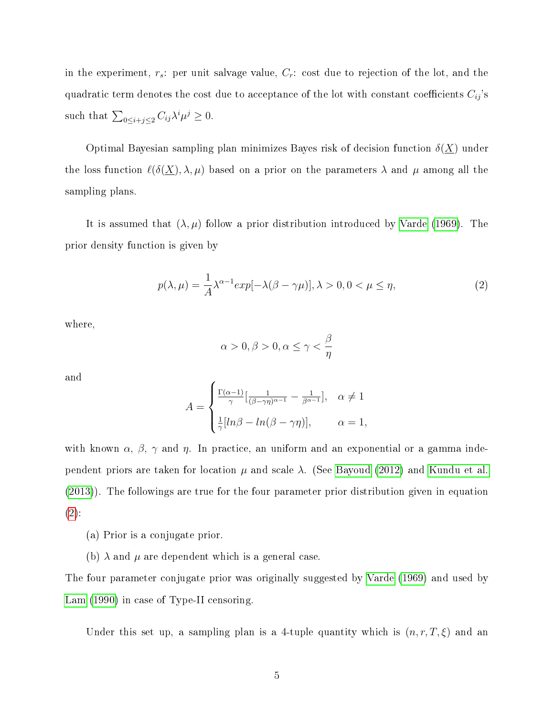in the experiment,  $r_s$ : per unit salvage value,  $C_r$ : cost due to rejection of the lot, and the quadratic term denotes the cost due to acceptance of the lot with constant coefficients  $C_{ij}$ 's such that  $\sum_{0 \leq i+j \leq 2} C_{ij} \lambda^i \mu^j \geq 0$ .

Optimal Bayesian sampling plan minimizes Bayes risk of decision function  $\delta(\underline{X})$  under the loss function  $\ell(\delta(\underline{X}), \lambda, \mu)$  based on a prior on the parameters  $\lambda$  and  $\mu$  among all the sampling plans.

It is assumed that  $(\lambda, \mu)$  follow a prior distribution introduced by [Varde](#page-19-1) [\(1969\)](#page-19-1). The prior density function is given by

<span id="page-4-0"></span>
$$
p(\lambda,\mu) = \frac{1}{A}\lambda^{\alpha-1}exp[-\lambda(\beta-\gamma\mu)], \lambda > 0, 0 < \mu \le \eta,
$$
\n(2)

where,

$$
\alpha > 0, \beta > 0, \alpha \le \gamma < \frac{\beta}{\eta}
$$

and

$$
A = \begin{cases} \frac{\Gamma(\alpha-1)}{\gamma} \left[ \frac{1}{(\beta-\gamma\eta)^{\alpha-1}} - \frac{1}{\beta^{\alpha-1}} \right], & \alpha \neq 1 \\ \frac{1}{\gamma} \left[ ln\beta - ln(\beta-\gamma\eta) \right], & \alpha = 1, \end{cases}
$$

with known  $\alpha$ ,  $\beta$ ,  $\gamma$  and  $\eta$ . In practice, an uniform and an exponential or a gamma independent priors are taken for location  $\mu$  and scale  $\lambda$ . (See [Bayoud](#page-17-7) [\(2012\)](#page-17-7) and [Kundu et al.](#page-18-9) [\(2013\)](#page-18-9)). The followings are true for the four parameter prior distribution given in equation  $(2)$ :

- (a) Prior is a conjugate prior.
- (b)  $\lambda$  and  $\mu$  are dependent which is a general case.

The four parameter conjugate prior was originally suggested by [Varde](#page-19-1) [\(1969\)](#page-19-1) and used by [Lam](#page-18-0) [\(1990\)](#page-18-0) in case of Type-II censoring.

Under this set up, a sampling plan is a 4-tuple quantity which is  $(n, r, T, \xi)$  and an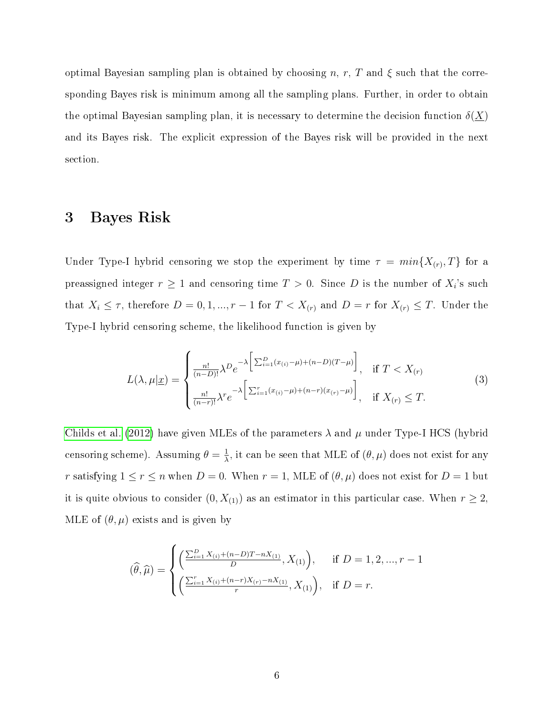optimal Bayesian sampling plan is obtained by choosing n, r, T and  $\xi$  such that the corresponding Bayes risk is minimum among all the sampling plans. Further, in order to obtain the optimal Bayesian sampling plan, it is necessary to determine the decision function  $\delta(X)$ and its Bayes risk. The explicit expression of the Bayes risk will be provided in the next section.

#### <span id="page-5-0"></span>3 Bayes Risk

Under Type-I hybrid censoring we stop the experiment by time  $\tau = min\{X_{(r)}, T\}$  for a preassigned integer  $r\geq 1$  and censoring time  $T>0.$  Since  $D$  is the number of  $X_i$ 's such that  $X_i \leq \tau$ , therefore  $D = 0, 1, ..., r - 1$  for  $T < X_{(r)}$  and  $D = r$  for  $X_{(r)} \leq T$ . Under the Type-I hybrid censoring scheme, the likelihood function is given by

$$
L(\lambda, \mu | \underline{x}) = \begin{cases} \frac{n!}{(n-D)!} \lambda^D e^{-\lambda \left[ \sum_{i=1}^D (x_{(i)} - \mu) + (n-D)(T-\mu) \right]}, & \text{if } T < X_{(r)} \\ \frac{n!}{(n-r)!} \lambda^r e^{-\lambda \left[ \sum_{i=1}^r (x_{(i)} - \mu) + (n-r)(x_{(r)} - \mu) \right]}, & \text{if } X_{(r)} \le T. \end{cases}
$$
(3)

[Childs et al.](#page-17-8) [\(2012\)](#page-17-8) have given MLEs of the parameters  $\lambda$  and  $\mu$  under Type-I HCS (hybrid censoring scheme). Assuming  $\theta = \frac{1}{\lambda}$  $\frac{1}{\lambda}$ , it can be seen that MLE of  $(\theta, \mu)$  does not exist for any r satisfying  $1 \le r \le n$  when  $D = 0$ . When  $r = 1$ , MLE of  $(\theta, \mu)$  does not exist for  $D = 1$  but it is quite obvious to consider  $(0, X_{(1)})$  as an estimator in this particular case. When  $r \geq 2$ , MLE of  $(\theta, \mu)$  exists and is given by

$$
(\widehat{\theta}, \widehat{\mu}) = \begin{cases} \left( \frac{\sum_{i=1}^{D} X_{(i)} + (n-D)T - nX_{(1)}}{D}, X_{(1)} \right), & \text{if } D = 1, 2, ..., r - 1 \\ \left( \frac{\sum_{i=1}^{r} X_{(i)} + (n-r)X_{(r)} - nX_{(1)}}{r}, X_{(1)} \right), & \text{if } D = r. \end{cases}
$$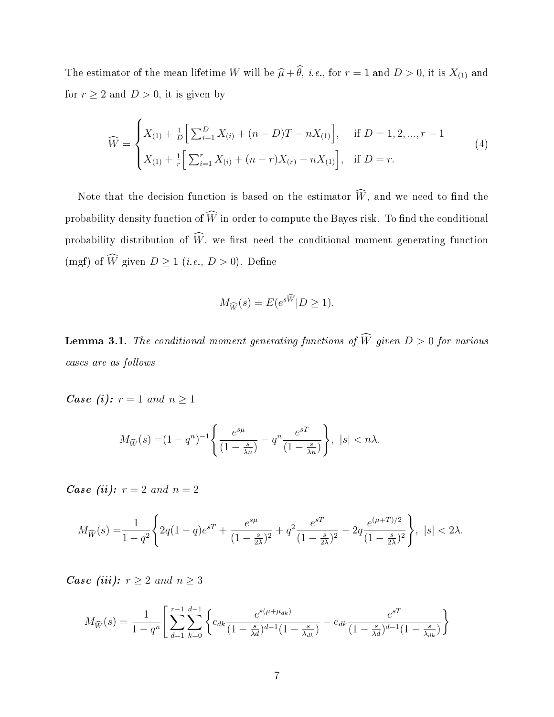The estimator of the mean lifetime W will be  $\widehat{\mu} + \widehat{\theta}$ , *i.e.*, for  $r = 1$  and  $D > 0$ , it is  $X_{(1)}$  and for  $r \geq 2$  and  $D > 0$ , it is given by

$$
\widehat{W} = \begin{cases} X_{(1)} + \frac{1}{D} \Big[ \sum_{i=1}^{D} X_{(i)} + (n - D)T - nX_{(1)} \Big], & \text{if } D = 1, 2, ..., r - 1 \\ X_{(1)} + \frac{1}{r} \Big[ \sum_{i=1}^{r} X_{(i)} + (n - r)X_{(r)} - nX_{(1)} \Big], & \text{if } D = r. \end{cases}
$$
\n(4)

Note that the decision function is based on the estimator  $\widehat{W}$ , and we need to find the probability density function of  $\widehat{W}$  in order to compute the Bayes risk. To find the conditional probability distribution of  $\widehat{W}$ , we first need the conditional moment generating function (mgf) of  $\widehat{W}$  given  $D \ge 1$  (*i.e.*,  $D > 0$ ). Define

$$
M_{\widehat{W}}(s) = E(e^{s\widehat{W}}|D \ge 1).
$$

**Lemma 3.1.** The conditional moment generating functions of  $\widehat{W}$  given  $D > 0$  for various cases are as follows

*Case (i):*  $r = 1$  and  $n \ge 1$ 

$$
M_{\widehat{W}}(s) = (1 - q^n)^{-1} \left\{ \frac{e^{s\mu}}{(1 - \frac{s}{\lambda n})} - q^n \frac{e^{sT}}{(1 - \frac{s}{\lambda n})} \right\}, \ |s| < n\lambda.
$$

*Case (ii):*  $r = 2$  *and*  $n = 2$ 

$$
M_{\widehat{W}}(s) = \frac{1}{1-q^2} \Bigg\{ 2q(1-q)e^{sT} + \frac{e^{s\mu}}{(1-\frac{s}{2\lambda})^2} + q^2 \frac{e^{sT}}{(1-\frac{s}{2\lambda})^2} - 2q \frac{e^{(\mu+T)/2}}{(1-\frac{s}{2\lambda})^2} \Bigg\}, \ |s| < 2\lambda.
$$

*Case (iii):*  $r \geq 2$  *and*  $n \geq 3$ 

$$
M_{\widehat{W}}(s) = \frac{1}{1 - q^n} \left[ \sum_{d=1}^{r-1} \sum_{k=0}^{d-1} \left\{ c_{dk} \frac{e^{s(\mu + \mu_{dk})}}{(1 - \frac{s}{\lambda_d})^{d-1} (1 - \frac{s}{\lambda_{dk}})} - e_{dk} \frac{e^{sT}}{(1 - \frac{s}{\lambda_d})^{d-1} (1 - \frac{s}{\lambda_{dk}})} \right\} \right]
$$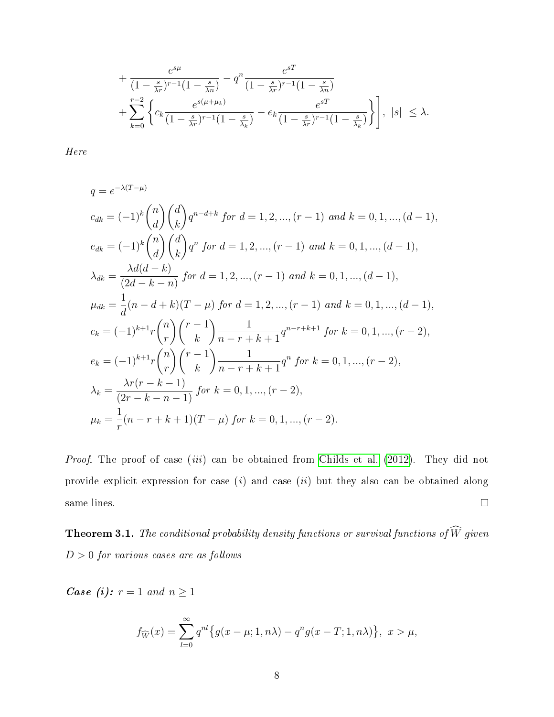$$
+\frac{e^{s\mu}}{(1-\frac{s}{\lambda r})^{r-1}(1-\frac{s}{\lambda n})}-q^n\frac{e^{sT}}{(1-\frac{s}{\lambda r})^{r-1}(1-\frac{s}{\lambda n})} + \sum_{k=0}^{r-2} \left\{c_k \frac{e^{s(\mu+\mu_k)}}{(1-\frac{s}{\lambda r})^{r-1}(1-\frac{s}{\lambda k})}-e_k \frac{e^{sT}}{(1-\frac{s}{\lambda r})^{r-1}(1-\frac{s}{\lambda k})}\right\}, |s| \leq \lambda.
$$

Here

$$
q = e^{-\lambda(T-\mu)}
$$
  
\n
$$
c_{dk} = (-1)^k {n \choose d} {d \choose k} q^{n-d+k} \text{ for } d = 1, 2, ..., (r-1) \text{ and } k = 0, 1, ..., (d-1),
$$
  
\n
$$
e_{dk} = (-1)^k {n \choose d} {d \choose k} q^n \text{ for } d = 1, 2, ..., (r-1) \text{ and } k = 0, 1, ..., (d-1),
$$
  
\n
$$
\lambda_{dk} = \frac{\lambda d(d-k)}{(2d-k-n)} \text{ for } d = 1, 2, ..., (r-1) \text{ and } k = 0, 1, ..., (d-1),
$$
  
\n
$$
\mu_{dk} = \frac{1}{d}(n-d+k)(T-\mu) \text{ for } d = 1, 2, ..., (r-1) \text{ and } k = 0, 1, ..., (d-1),
$$
  
\n
$$
c_k = (-1)^{k+1} r {n \choose r} {r-1 \choose k} \frac{1}{n-r+k+1} q^{n-r+k+1} \text{ for } k = 0, 1, ..., (r-2),
$$
  
\n
$$
e_k = (-1)^{k+1} r {n \choose r} {r-1 \choose k} \frac{1}{n-r+k+1} q^n \text{ for } k = 0, 1, ..., (r-2),
$$
  
\n
$$
\lambda_k = \frac{\lambda r(r-k-1)}{(2r-k-n-1)} \text{ for } k = 0, 1, ..., (r-2),
$$
  
\n
$$
\mu_k = \frac{1}{r} (n-r+k+1)(T-\mu) \text{ for } k = 0, 1, ..., (r-2).
$$

Proof. The proof of case *(iii)* can be obtained from [Childs et al.](#page-17-8) [\(2012\)](#page-17-8). They did not provide explicit expression for case  $(i)$  and case  $(ii)$  but they also can be obtained along same lines.  $\Box$ 

<span id="page-7-0"></span>**Theorem 3.1.** The conditional probability density functions or survival functions of  $\widehat{W}$  given  $D > 0$  for various cases are as follows

*Case (i):*  $r = 1$  *and*  $n \ge 1$ 

$$
f_{\widehat{W}}(x) = \sum_{l=0}^{\infty} q^{nl} \{ g(x - \mu; 1, n\lambda) - q^n g(x - T; 1, n\lambda) \}, \ x > \mu,
$$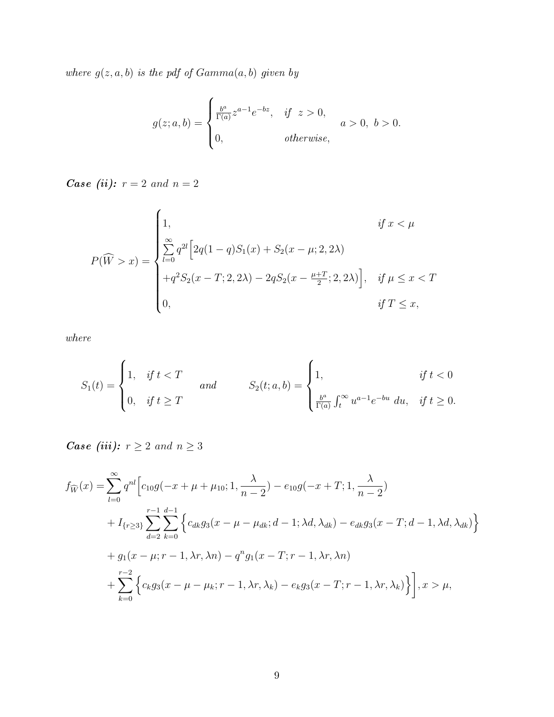where  $g(z, a, b)$  is the pdf of  $Gamma(a, b)$  given by

$$
g(z; a, b) = \begin{cases} \frac{b^a}{\Gamma(a)} z^{a-1} e^{-bz}, & \text{if } z > 0, \\ 0, & \text{otherwise,} \end{cases}
$$
  $a > 0, b > 0.$ 

*Case (ii):*  $r = 2$  *and*  $n = 2$ 

$$
P(\widehat{W} > x) = \begin{cases} 1, & \text{if } x < \mu \\ \sum_{l=0}^{\infty} q^{2l} \Big[ 2q(1-q)S_1(x) + S_2(x-\mu; 2, 2\lambda) \\ +q^2 S_2(x-T; 2, 2\lambda) - 2q S_2(x-\frac{\mu+T}{2}; 2, 2\lambda) \Big], & \text{if } \mu \le x < T \\ 0, & \text{if } T \le x, \end{cases}
$$

where

$$
S_1(t) = \begin{cases} 1, & \text{if } t < T \\ 0, & \text{if } t \ge T \end{cases} \qquad \text{and} \qquad S_2(t; a, b) = \begin{cases} 1, & \text{if } t < 0 \\ \frac{b^a}{\Gamma(a)} \int_t^\infty u^{a-1} e^{-bu} \, du, & \text{if } t \ge 0. \end{cases}
$$

*Case (iii):*  $r \geq 2$  *and*  $n \geq 3$ 

$$
f_{\widehat{W}}(x) = \sum_{l=0}^{\infty} q^{nl} \Big[ c_{10} g(-x + \mu + \mu_{10}; 1, \frac{\lambda}{n-2}) - e_{10} g(-x + T; 1, \frac{\lambda}{n-2}) + I_{\{r \ge 3\}} \sum_{d=2}^{r-1} \sum_{k=0}^{d-1} \Big\{ c_{dk} g_3(x - \mu - \mu_{dk}; d-1; \lambda d, \lambda_{dk}) - e_{dk} g_3(x - T; d-1, \lambda d, \lambda_{dk}) \Big\} + g_1(x - \mu; r - 1, \lambda r, \lambda n) - q^n g_1(x - T; r - 1, \lambda r, \lambda n) + \sum_{k=0}^{r-2} \Big\{ c_k g_3(x - \mu - \mu_k; r - 1, \lambda r, \lambda_k) - e_k g_3(x - T; r - 1, \lambda r, \lambda_k) \Big\} \Big], x > \mu,
$$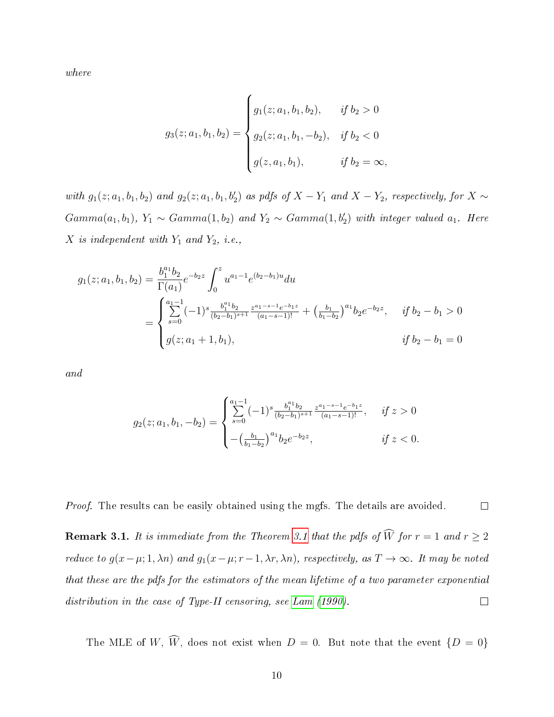where

$$
g_3(z; a_1, b_1, b_2) = \begin{cases} g_1(z; a_1, b_1, b_2), & \text{if } b_2 > 0 \\ g_2(z; a_1, b_1, -b_2), & \text{if } b_2 < 0 \\ g(z, a_1, b_1), & \text{if } b_2 = \infty, \end{cases}
$$

with  $g_1(z; a_1, b_1, b_2)$  and  $g_2(z; a_1, b_1, b_2')$  as pdfs of  $X - Y_1$  and  $X - Y_2$ , respectively, for  $X \sim$  $Gamma(a_1, b_1), Y_1 \sim Gamma(1, b_2)$  and  $Y_2 \sim Gamma(1, b_2')$  with integer valued  $a_1$ . Here  $X$  is independent with  $Y_1$  and  $Y_2$ , i.e.,

$$
g_1(z; a_1, b_1, b_2) = \frac{b_1^{a_1} b_2}{\Gamma(a_1)} e^{-b_2 z} \int_0^z u^{a_1-1} e^{(b_2-b_1)u} du
$$
  
= 
$$
\begin{cases} \sum_{s=0}^{a_1-1} (-1)^s \frac{b_1^{a_1} b_2}{(b_2-b_1)^{s+1}} \frac{z^{a_1-s-1} e^{-b_1 z}}{(a_1-s-1)!} + \left(\frac{b_1}{b_1-b_2}\right)^{a_1} b_2 e^{-b_2 z}, & \text{if } b_2-b_1 > 0 \\ g(z; a_1+1, b_1), & \text{if } b_2-b_1 = 0 \end{cases}
$$

and

$$
g_2(z; a_1, b_1, -b_2) = \begin{cases} \sum_{s=0}^{a_1-1} (-1)^s \frac{b_1^{a_1} b_2}{(b_2 - b_1)^{s+1}} \frac{z^{a_1 - s - 1} e^{-b_1 z}}{(a_1 - s - 1)!}, & \text{if } z > 0 \\ -\left(\frac{b_1}{b_1 - b_2}\right)^{a_1} b_2 e^{-b_2 z}, & \text{if } z < 0. \end{cases}
$$

 $\Box$ Proof. The results can be easily obtained using the mgfs. The details are avoided.

<span id="page-9-0"></span>**Remark [3.1](#page-7-0).** It is immediate from the Theorem 3.1 that the pdfs of  $\widehat{W}$  for  $r = 1$  and  $r \geq 2$ reduce to  $g(x-\mu; 1, \lambda n)$  and  $g_1(x-\mu; r-1, \lambda r, \lambda n)$ , respectively, as  $T \to \infty$ . It may be noted that these are the pdfs for the estimators of the mean lifetime of a two parameter exponential distribution in the case of Type-II censoring, see [Lam](#page-18-0) [\(1990\)](#page-18-0).  $\Box$ 

The MLE of W,  $\widehat{W}$ , does not exist when  $D = 0$ . But note that the event  $\{D = 0\}$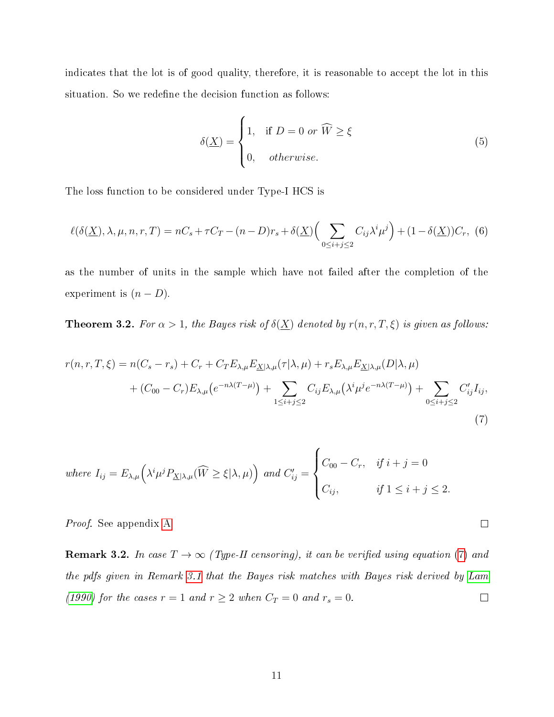indicates that the lot is of good quality, therefore, it is reasonable to accept the lot in this situation. So we redefine the decision function as follows:

$$
\delta(\underline{X}) = \begin{cases} 1, & \text{if } D = 0 \text{ or } \widehat{W} \ge \xi \\ 0, & \text{otherwise.} \end{cases}
$$
 (5)

<span id="page-10-0"></span> $\Box$ 

The loss function to be considered under Type-I HCS is

$$
\ell(\delta(\underline{X}), \lambda, \mu, n, r, T) = nC_s + \tau C_T - (n - D)r_s + \delta(\underline{X}) \Big(\sum_{0 \le i+j \le 2} C_{ij} \lambda^i \mu^j\Big) + (1 - \delta(\underline{X}))C_r, \tag{6}
$$

as the number of units in the sample which have not failed after the completion of the experiment is  $(n - D)$ .

<span id="page-10-1"></span>**Theorem 3.2.** For  $\alpha > 1$ , the Bayes risk of  $\delta(\underline{X})$  denoted by  $r(n, r, T, \xi)$  is given as follows:

$$
r(n,r,T,\xi) = n(C_s - r_s) + C_r + C_T E_{\lambda,\mu} E_{\underline{X}|\lambda,\mu}(\tau|\lambda,\mu) + r_s E_{\lambda,\mu} E_{\underline{X}|\lambda,\mu}(D|\lambda,\mu)
$$
  
+ 
$$
(C_{00} - C_r) E_{\lambda,\mu} (e^{-n\lambda(T-\mu)}) + \sum_{1 \le i+j \le 2} C_{ij} E_{\lambda,\mu} (\lambda^i \mu^j e^{-n\lambda(T-\mu)}) + \sum_{0 \le i+j \le 2} C'_{ij} I_{ij},
$$
  
(7)

where 
$$
I_{ij} = E_{\lambda,\mu} \Big( \lambda^i \mu^j P_{\underline{X}|\lambda,\mu}(\widehat{W} \ge \xi | \lambda, \mu) \Big)
$$
 and  $C'_{ij} = \begin{cases} C_{00} - C_r, & \text{if } i + j = 0 \\ C_{ij}, & \text{if } 1 \le i + j \le 2. \end{cases}$ 

Proof. See appendix [A.](#page-20-2)

**Remark 3.2.** In case  $T \rightarrow \infty$  (Type-II censoring), it can be verified using equation [\(7\)](#page-10-0) and the pdfs given in Remark [3.1](#page-9-0) that the Bayes risk matches with Bayes risk derived by [Lam](#page-18-0) [\(1990\)](#page-18-0) for the cases  $r = 1$  and  $r \ge 2$  when  $C_T = 0$  and  $r_s = 0$ .  $\Box$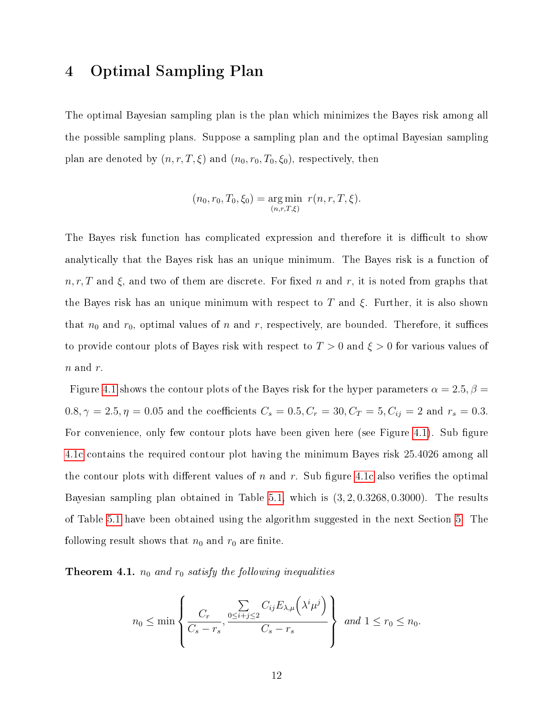## <span id="page-11-0"></span>4 Optimal Sampling Plan

The optimal Bayesian sampling plan is the plan which minimizes the Bayes risk among all the possible sampling plans. Suppose a sampling plan and the optimal Bayesian sampling plan are denoted by  $(n, r, T, \xi)$  and  $(n_0, r_0, T_0, \xi_0)$ , respectively, then

$$
(n_0, r_0, T_0, \xi_0) = \underset{(n, r, T, \xi)}{\arg \min} r(n, r, T, \xi).
$$

The Bayes risk function has complicated expression and therefore it is difficult to show analytically that the Bayes risk has an unique minimum. The Bayes risk is a function of  $n, r, T$  and  $\xi$ , and two of them are discrete. For fixed n and r, it is noted from graphs that the Bayes risk has an unique minimum with respect to T and  $\xi$ . Further, it is also shown that  $n_0$  and  $r_0$ , optimal values of n and r, respectively, are bounded. Therefore, it suffices to provide contour plots of Bayes risk with respect to  $T > 0$  and  $\xi > 0$  for various values of  $n$  and  $r$ .

Figure [4.1](#page-12-0) shows the contour plots of the Bayes risk for the hyper parameters  $\alpha = 2.5, \beta =$  $0.8, \gamma = 2.5, \eta = 0.05$  and the coefficients  $C_s = 0.5, C_r = 30, C_T = 5, C_{ij} = 2$  and  $r_s = 0.3$ . For convenience, only few contour plots have been given here (see Figure [4.1\)](#page-12-0). Sub figure [4.1c](#page-12-0) contains the required contour plot having the minimum Bayes risk 25.4026 among all the contour plots with different values of n and r. Sub figure [4.1c](#page-12-0) also verifies the optimal Bayesian sampling plan obtained in Table [5.1,](#page-14-0) which is (3, 2, 0.3268, 0.3000). The results of Table [5.1](#page-14-0) have been obtained using the algorithm suggested in the next Section [5.](#page-13-0) The following result shows that  $n_0$  and  $r_0$  are finite.

<span id="page-11-1"></span>**Theorem 4.1.**  $n_0$  and  $r_0$  satisfy the following inequalities

$$
n_0 \le \min\left\{\frac{C_r}{C_s - r_s}, \frac{\sum\limits_{0 \le i+j \le 2} C_{ij} E_{\lambda,\mu}\left(\lambda^i \mu^j\right)}{C_s - r_s}\right\} \text{ and } 1 \le r_0 \le n_0.
$$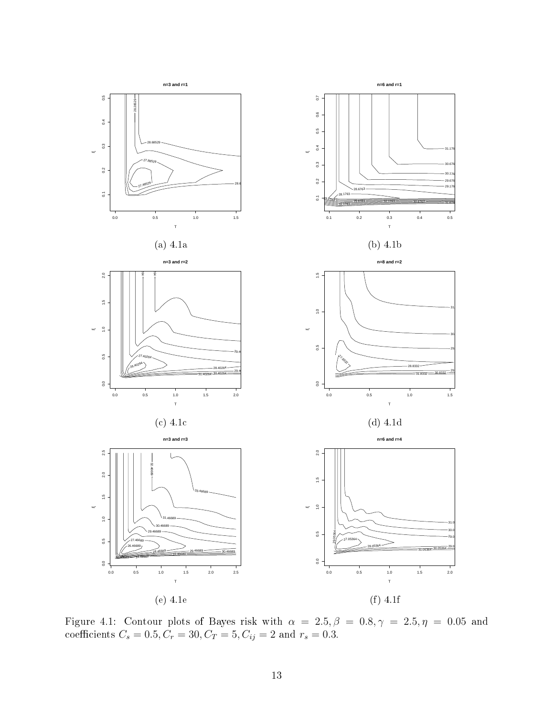<span id="page-12-0"></span>

Figure 4.1: Contour plots of Bayes risk with  $\alpha = 2.5, \beta = 0.8, \gamma = 2.5, \eta = 0.05$  and coefficients  $C_s = 0.5, C_r = 30, C_T = 5, C_{ij} = 2$  and  $r_s = 0.3$ .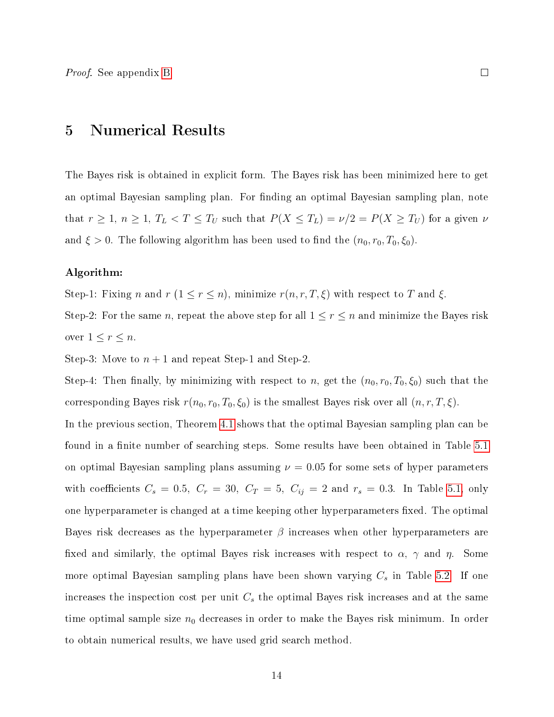<span id="page-13-0"></span>Proof. See appendix [B.](#page-35-0)

#### 5 Numerical Results

The Bayes risk is obtained in explicit form. The Bayes risk has been minimized here to get an optimal Bayesian sampling plan. For finding an optimal Bayesian sampling plan, note that  $r \ge 1$ ,  $n \ge 1$ ,  $T_L < T \le T_U$  such that  $P(X \le T_L) = \nu/2 = P(X \ge T_U)$  for a given  $\nu$ and  $\xi > 0$ . The following algorithm has been used to find the  $(n_0, r_0, T_0, \xi_0)$ .

#### Algorithm:

Step-1: Fixing n and  $r$  ( $1 \le r \le n$ ), minimize  $r(n, r, T, \xi)$  with respect to T and  $\xi$ .

Step-2: For the same *n*, repeat the above step for all  $1 \le r \le n$  and minimize the Bayes risk over  $1 \leq r \leq n$ .

Step-3: Move to  $n+1$  and repeat Step-1 and Step-2.

Step-4: Then finally, by minimizing with respect to n, get the  $(n_0, r_0, T_0, \xi_0)$  such that the corresponding Bayes risk  $r(n_0, r_0, T_0, \xi_0)$  is the smallest Bayes risk over all  $(n, r, T, \xi)$ .

In the previous section, Theorem [4.1](#page-11-1) shows that the optimal Bayesian sampling plan can be found in a finite number of searching steps. Some results have been obtained in Table [5.1](#page-14-0) on optimal Bayesian sampling plans assuming  $\nu = 0.05$  for some sets of hyper parameters with coefficients  $C_s = 0.5$ ,  $C_r = 30$ ,  $C_T = 5$ ,  $C_{ij} = 2$  and  $r_s = 0.3$ . In Table [5.1,](#page-14-0) only one hyperparameter is changed at a time keeping other hyperparameters fixed. The optimal Bayes risk decreases as the hyperparameter  $\beta$  increases when other hyperparameters are fixed and similarly, the optimal Bayes risk increases with respect to  $\alpha$ ,  $\gamma$  and  $\eta$ . Some more optimal Bayesian sampling plans have been shown varying  $C_s$  in Table [5.2.](#page-14-1) If one increases the inspection cost per unit  $C_s$  the optimal Bayes risk increases and at the same time optimal sample size  $n_0$  decreases in order to make the Bayes risk minimum. In order to obtain numerical results, we have used grid search method.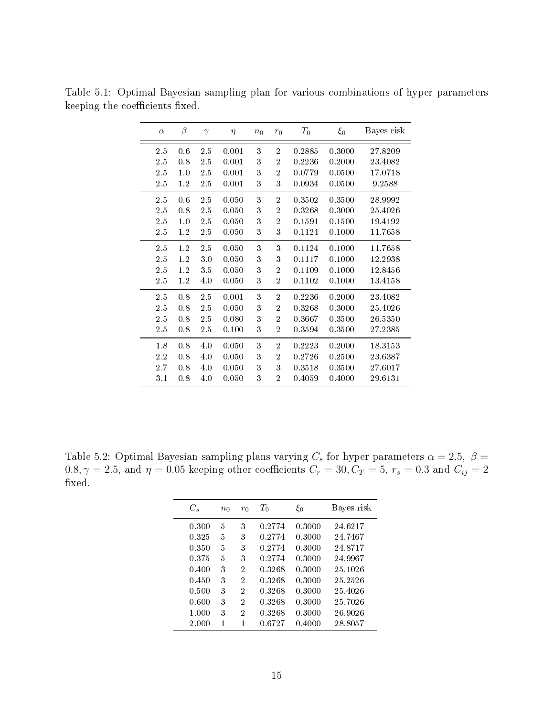| $\alpha$ | $\beta$ | $\gamma$ | $\eta$ | $n_0$ | $r_0$          | $T_{\rm 0}$ | $\xi_0$ | Bayes risk |
|----------|---------|----------|--------|-------|----------------|-------------|---------|------------|
| 2.5      | 0.6     | 2.5      | 0.001  | 3     | $\overline{2}$ | 0.2885      | 0.3000  | 27.8209    |
| $2.5\,$  | 0.8     | 2.5      | 0.001  | 3     | $\overline{2}$ | 0.2236      | 0.2000  | 23.4082    |
| 2.5      | 1.0     | 2.5      | 0.001  | 3     | $\overline{2}$ | 0.0779      | 0.0500  | 17.0718    |
| 2.5      | $1.2\,$ | 2.5      | 0.001  | 3     | 3              | 0.0934      | 0.0500  | 9.2588     |
| 2.5      | 0.6     | 2.5      | 0.050  | 3     | $\overline{2}$ | 0.3502      | 0.3500  | 28.9992    |
| 2.5      | 0.8     | 2.5      | 0.050  | 3     | $\overline{2}$ | 0.3268      | 0.3000  | 25.4026    |
| 2.5      | 1.0     | 2.5      | 0.050  | 3     | $\overline{2}$ | 0.1591      | 0.1500  | 19.4192    |
| 2.5      | 1.2     | $2.5\,$  | 0.050  | 3     | 3              | 0.1124      | 0.1000  | 11.7658    |
| 2.5      | 1.2     | 2.5      | 0.050  | 3     | 3              | 0.1124      | 0.1000  | 11.7658    |
| 2.5      | 1.2     | 3.0      | 0.050  | 3     | 3              | 0.1117      | 0.1000  | 12.2938    |
| 2.5      | 1.2     | 3.5      | 0.050  | 3     | $\overline{2}$ | 0.1109      | 0.1000  | 12.8456    |
| 2.5      | 1.2     | 4.0      | 0.050  | 3     | $\overline{2}$ | 0.1102      | 0.1000  | 13.4158    |
| 2.5      | 0.8     | 2.5      | 0.001  | 3     | $\overline{2}$ | 0.2236      | 0.2000  | 23.4082    |
| 2.5      | 0.8     | 2.5      | 0.050  | 3     | $\overline{2}$ | 0.3268      | 0.3000  | 25.4026    |
| 2.5      | 0.8     | 2.5      | 0.080  | 3     | $\overline{2}$ | 0.3667      | 0.3500  | 26.5350    |
| 2.5      | 0.8     | $2.5\,$  | 0.100  | 3     | $\overline{2}$ | 0.3594      | 0.3500  | 27.2385    |
| 1.8      | 0.8     | 4.0      | 0.050  | 3     | $\overline{2}$ | 0.2223      | 0.2000  | 18.3153    |
| 2.2      | 0.8     | 4.0      | 0.050  | 3     | $\overline{2}$ | 0.2726      | 0.2500  | 23.6387    |
| 2.7      | 0.8     | 4.0      | 0.050  | 3     | 3              | 0.3518      | 0.3500  | 27.6017    |
| 3.1      | 0.8     | 4.0      | 0.050  | 3     | $\overline{2}$ | 0.4059      | 0.4000  | 29.6131    |

<span id="page-14-0"></span>Table 5.1: Optimal Bayesian sampling plan for various combinations of hyper parameters keeping the coefficients fixed.

<span id="page-14-1"></span>Table 5.2: Optimal Bayesian sampling plans varying  $C_s$  for hyper parameters  $\alpha = 2.5, \; \beta =$  $0.8, \gamma = 2.5,$  and  $\eta = 0.05$  keeping other coefficients  $C_r = 30, C_T = 5, r_s = 0.3$  and  $C_{ij} = 2$ fixed.

| $C_{\rm c}$ | $n_0$ | $r_0$ | $\scriptstyle T_0$ | $\xi_0$ | Bayes risk |
|-------------|-------|-------|--------------------|---------|------------|
| 0.300       | 5     | 3     | 0.2774             | 0.3000  | 24.6217    |
| 0.325       | 5     | 3     | 0.2774             | 0.3000  | 24.7467    |
| 0.350       | 5     | 3     | 0.2774             | 0.3000  | 24.8717    |
| 0.375       | 5     | 3     | 0.2774             | 0.3000  | 24.9967    |
| 0.400       | 3     | 2     | 0.3268             | 0.3000  | 25.1026    |
| 0.450       | 3     | 2     | 0.3268             | 0.3000  | 25 25 26   |
| 0.500       | 3     | 2     | 0.3268             | 0.3000  | 25.4026    |
| 0.600       | 3     | 2     | 0.3268             | 0.3000  | 25.7026    |
| 1.000       | 3     | 2     | 0.3268             | 0.3000  | 26.9026    |
| 2.000       | 1     | 1     | 0.6727             | 0.4000  | 28.8057    |
|             |       |       |                    |         |            |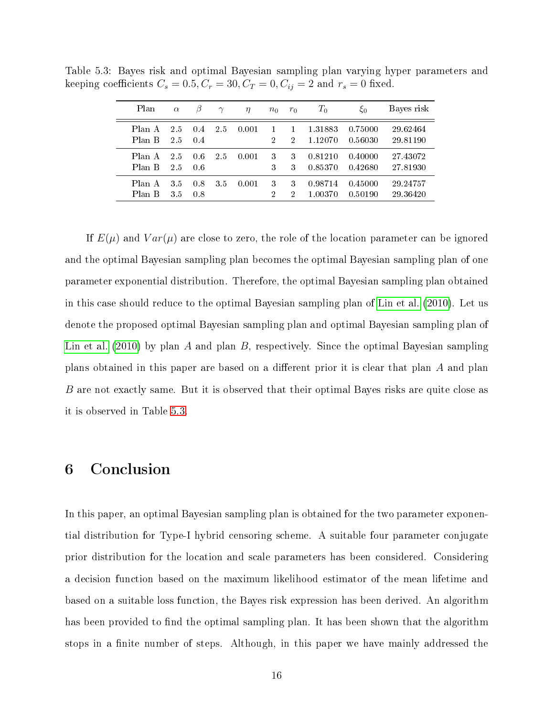| Plan             | $\alpha$   | β          | $\gamma$ | $\eta$ | $n_0$             | $r_0$                          | $T_0$              | $\xi_0$            | Bayes risk           |
|------------------|------------|------------|----------|--------|-------------------|--------------------------------|--------------------|--------------------|----------------------|
| Plan A<br>Plan B | 2.5<br>2.5 | 0.4<br>0.4 | 2.5      | 0.001  | $\mathbf{1}$<br>2 | $\mathbf{1}$<br>$\overline{2}$ | 1.31883<br>1.12070 | 0.75000<br>0.56030 | 29.62464<br>29.81190 |
| Plan A<br>Plan B | 2.5<br>2.5 | 0.6<br>0.6 | 2.5      | 0.001  | 3<br>3            | 3<br>3                         | 0.81210<br>0.85370 | 0.40000<br>0.42680 | 27.43072<br>27.81930 |
| Plan A<br>Plan B | 3.5<br>3.5 | 0.8<br>0.8 | 35       | 0.001  | 3<br>2            | 3<br>2                         | 0.98714<br>1.00370 | 0.45000<br>0.50190 | 29.24757<br>29 36420 |

<span id="page-15-1"></span>Table 5.3: Bayes risk and optimal Bayesian sampling plan varying hyper parameters and keeping coefficients  $C_s = 0.5, C_r = 30, C_T = 0, C_{ij} = 2$  and  $r_s = 0$  fixed.

If  $E(\mu)$  and  $Var(\mu)$  are close to zero, the role of the location parameter can be ignored and the optimal Bayesian sampling plan becomes the optimal Bayesian sampling plan of one parameter exponential distribution. Therefore, the optimal Bayesian sampling plan obtained in this case should reduce to the optimal Bayesian sampling plan of [Lin et al.](#page-19-3) [\(2010\)](#page-19-3). Let us denote the proposed optimal Bayesian sampling plan and optimal Bayesian sampling plan of [Lin et al.](#page-19-3) [\(2010\)](#page-19-3) by plan A and plan B, respectively. Since the optimal Bayesian sampling plans obtained in this paper are based on a different prior it is clear that plan A and plan B are not exactly same. But it is observed that their optimal Bayes risks are quite close as it is observed in Table [5.3.](#page-15-1)

#### <span id="page-15-0"></span>6 Conclusion

In this paper, an optimal Bayesian sampling plan is obtained for the two parameter exponential distribution for Type-I hybrid censoring scheme. A suitable four parameter conjugate prior distribution for the location and scale parameters has been considered. Considering a decision function based on the maximum likelihood estimator of the mean lifetime and based on a suitable loss function, the Bayes risk expression has been derived. An algorithm has been provided to find the optimal sampling plan. It has been shown that the algorithm stops in a finite number of steps. Although, in this paper we have mainly addressed the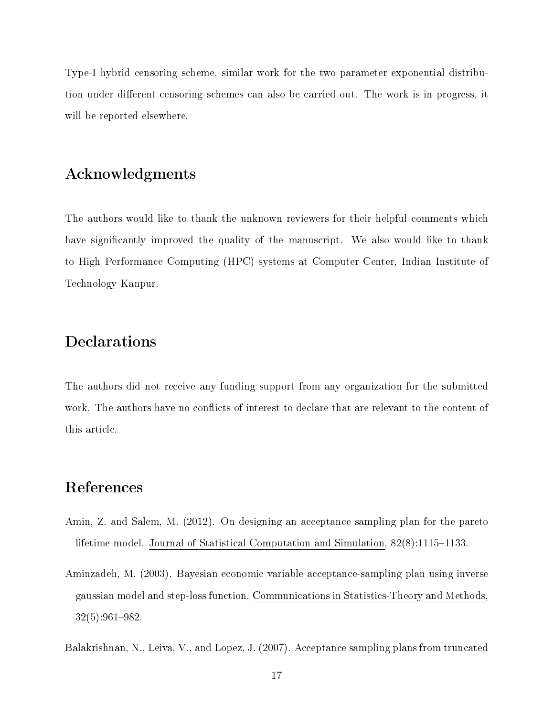Type-I hybrid censoring scheme, similar work for the two parameter exponential distribution under different censoring schemes can also be carried out. The work is in progress, it will be reported elsewhere.

#### Acknowledgments

The authors would like to thank the unknown reviewers for their helpful comments which have significantly improved the quality of the manuscript. We also would like to thank to High Performance Computing (HPC) systems at Computer Center, Indian Institute of Technology Kanpur.

## Declarations

The authors did not receive any funding support from any organization for the submitted work. The authors have no conflicts of interest to declare that are relevant to the content of this article.

#### References

- <span id="page-16-2"></span>Amin, Z. and Salem, M. (2012). On designing an acceptance sampling plan for the pareto lifetime model. Journal of Statistical Computation and Simulation,  $82(8)$ :1115-1133.
- <span id="page-16-0"></span>Aminzadeh, M. (2003). Bayesian economic variable acceptance-sampling plan using inverse gaussian model and step-loss function. Communications in Statistics-Theory and Methods,  $32(5):961-982.$

<span id="page-16-1"></span>Balakrishnan, N., Leiva, V., and Lopez, J. (2007). Acceptance sampling plans from truncated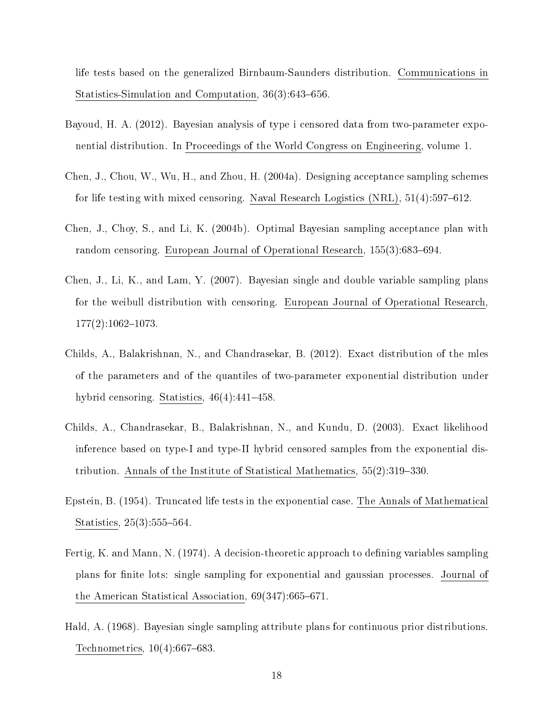life tests based on the generalized Birnbaum-Saunders distribution. Communications in Statistics-Simulation and Computation,  $36(3):643-656$ .

- <span id="page-17-7"></span>Bayoud, H. A. (2012). Bayesian analysis of type i censored data from two-parameter exponential distribution. In Proceedings of the World Congress on Engineering, volume 1.
- <span id="page-17-2"></span>Chen, J., Chou, W., Wu, H., and Zhou, H. (2004a). Designing acceptance sampling schemes for life testing with mixed censoring. Naval Research Logistics  $(NRL)$ , 51(4):597–612.
- <span id="page-17-3"></span>Chen, J., Choy, S., and Li, K. (2004b). Optimal Bayesian sampling acceptance plan with random censoring. European Journal of Operational Research,  $155(3):683-694$ .
- <span id="page-17-4"></span>Chen, J., Li, K., and Lam, Y. (2007). Bayesian single and double variable sampling plans for the weibull distribution with censoring. European Journal of Operational Research,  $177(2):1062-1073$ .
- <span id="page-17-8"></span>Childs, A., Balakrishnan, N., and Chandrasekar, B. (2012). Exact distribution of the mles of the parameters and of the quantiles of two-parameter exponential distribution under hybrid censoring. Statistics,  $46(4):441-458$ .
- <span id="page-17-6"></span>Childs, A., Chandrasekar, B., Balakrishnan, N., and Kundu, D. (2003). Exact likelihood inference based on type-I and type-II hybrid censored samples from the exponential distribution. Annals of the Institute of Statistical Mathematics,  $55(2)$ :319–330.
- <span id="page-17-5"></span>Epstein, B. (1954). Truncated life tests in the exponential case. The Annals of Mathematical Statistics, 25(3):555-564.
- <span id="page-17-1"></span>Fertig, K. and Mann, N. (1974). A decision-theoretic approach to defining variables sampling plans for nite lots: single sampling for exponential and gaussian processes. Journal of the American Statistical Association,  $69(347)$ :665-671.
- <span id="page-17-0"></span>Hald, A. (1968). Bayesian single sampling attribute plans for continuous prior distributions. Technometrics,  $10(4):667-683$ .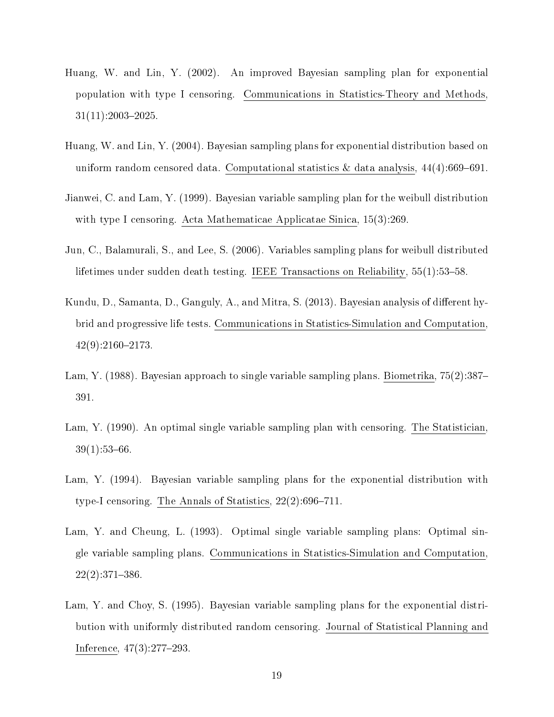- <span id="page-18-5"></span>Huang, W. and Lin, Y. (2002). An improved Bayesian sampling plan for exponential population with type I censoring. Communications in Statistics-Theory and Methods,  $31(11):2003-2025$
- <span id="page-18-6"></span>Huang, W. and Lin, Y. (2004). Bayesian sampling plans for exponential distribution based on uniform random censored data. Computational statistics  $\&$  data analysis, 44(4):669–691.
- <span id="page-18-7"></span>Jianwei, C. and Lam, Y. (1999). Bayesian variable sampling plan for the weibull distribution with type I censoring. Acta Mathematicae Applicatae Sinica, 15(3):269.
- <span id="page-18-8"></span>Jun, C., Balamurali, S., and Lee, S. (2006). Variables sampling plans for weibull distributed lifetimes under sudden death testing. IEEE Transactions on Reliability,  $55(1):53-58$ .
- <span id="page-18-9"></span>Kundu, D., Samanta, D., Ganguly, A., and Mitra, S. (2013). Bayesian analysis of different hybrid and progressive life tests. Communications in Statistics-Simulation and Computation,  $42(9):2160-2173.$
- <span id="page-18-1"></span>Lam, Y. (1988). Bayesian approach to single variable sampling plans. Biometrika, 75(2):387– 391.
- <span id="page-18-0"></span>Lam, Y. (1990). An optimal single variable sampling plan with censoring. The Statistician,  $39(1):53-66$ .
- <span id="page-18-3"></span>Lam, Y. (1994). Bayesian variable sampling plans for the exponential distribution with type-I censoring. The Annals of Statistics,  $22(2):696-711$ .
- <span id="page-18-2"></span>Lam, Y. and Cheung, L. (1993). Optimal single variable sampling plans: Optimal single variable sampling plans. Communications in Statistics-Simulation and Computation,  $22(2):371-386.$
- <span id="page-18-4"></span>Lam, Y. and Choy, S. (1995). Bayesian variable sampling plans for the exponential distribution with uniformly distributed random censoring. Journal of Statistical Planning and Inference,  $47(3):277-293$ .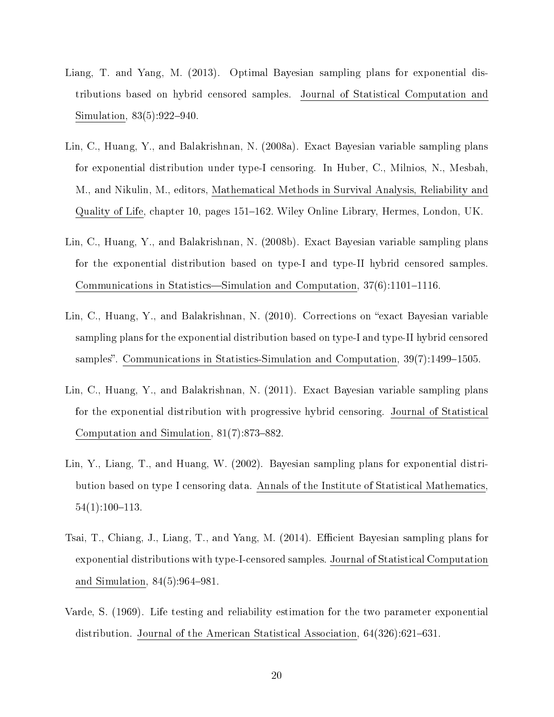- <span id="page-19-6"></span>Liang, T. and Yang, M. (2013). Optimal Bayesian sampling plans for exponential distributions based on hybrid censored samples. Journal of Statistical Computation and Simulation,  $83(5):922-940$ .
- <span id="page-19-2"></span>Lin, C., Huang, Y., and Balakrishnan, N. (2008a). Exact Bayesian variable sampling plans for exponential distribution under type-I censoring. In Huber, C., Milnios, N., Mesbah, M., and Nikulin, M., editors, Mathematical Methods in Survival Analysis, Reliability and Quality of Life, chapter 10, pages 151–162. Wiley Online Library, Hermes, London, UK.
- <span id="page-19-0"></span>Lin, C., Huang, Y., and Balakrishnan, N. (2008b). Exact Bayesian variable sampling plans for the exponential distribution based on type-I and type-II hybrid censored samples. Communications in Statistics—Simulation and Computation,  $37(6)$ :1101-1116.
- <span id="page-19-3"></span>Lin, C., Huang, Y., and Balakrishnan, N. (2010). Corrections on "exact Bayesian variable sampling plans for the exponential distribution based on type-I and type-II hybrid censored samples". Communications in Statistics-Simulation and Computation,  $39(7)$ :1499-1505.
- <span id="page-19-4"></span>Lin, C., Huang, Y., and Balakrishnan, N. (2011). Exact Bayesian variable sampling plans for the exponential distribution with progressive hybrid censoring. Journal of Statistical Computation and Simulation,  $81(7)$ :873-882.
- <span id="page-19-5"></span>Lin, Y., Liang, T., and Huang, W. (2002). Bayesian sampling plans for exponential distribution based on type I censoring data. Annals of the Institute of Statistical Mathematics,  $54(1):100-113.$
- <span id="page-19-7"></span>Tsai, T., Chiang, J., Liang, T., and Yang, M. (2014). Efficient Bayesian sampling plans for exponential distributions with type-I-censored samples. Journal of Statistical Computation and Simulation,  $84(5):964-981$ .
- <span id="page-19-1"></span>Varde, S. (1969). Life testing and reliability estimation for the two parameter exponential distribution. Journal of the American Statistical Association,  $64(326):621-631$ .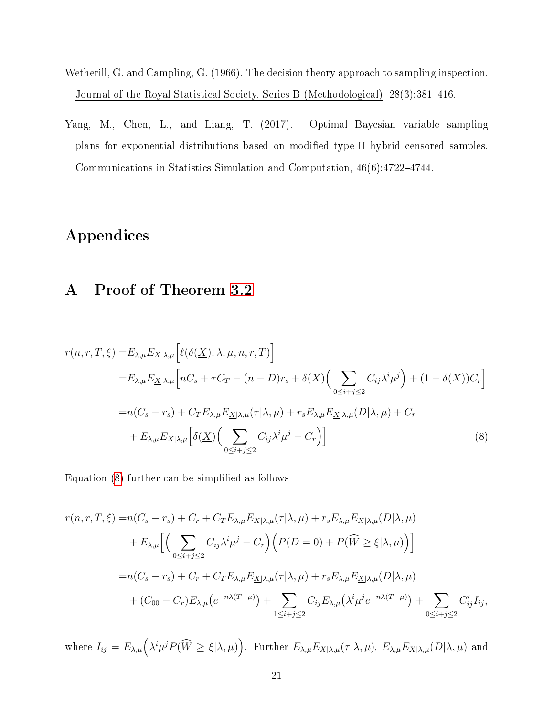- <span id="page-20-0"></span>Wetherill, G. and Campling, G. (1966). The decision theory approach to sampling inspection. Journal of the Royal Statistical Society. Series B (Methodological), 28(3):381-416.
- <span id="page-20-1"></span>Yang, M., Chen, L., and Liang, T. (2017). Optimal Bayesian variable sampling plans for exponential distributions based on modified type-II hybrid censored samples. Communications in Statistics-Simulation and Computation, 46(6):4722-4744.

# <span id="page-20-2"></span>Appendices

## A Proof of Theorem [3.2](#page-10-1)

$$
r(n,r,T,\xi) = E_{\lambda,\mu} E_{\underline{X}|\lambda,\mu} \left[ \ell(\delta(\underline{X}), \lambda, \mu, n, r, T) \right]
$$
  
\n
$$
= E_{\lambda,\mu} E_{\underline{X}|\lambda,\mu} \left[ nC_s + \tau C_T - (n - D)r_s + \delta(\underline{X}) \Big( \sum_{0 \le i+j \le 2} C_{ij} \lambda^i \mu^j \Big) + (1 - \delta(\underline{X})) C_r \right]
$$
  
\n
$$
= n(C_s - r_s) + C_T E_{\lambda,\mu} E_{\underline{X}|\lambda,\mu}(\tau|\lambda,\mu) + r_s E_{\lambda,\mu} E_{\underline{X}|\lambda,\mu}(D|\lambda,\mu) + C_r
$$
  
\n
$$
+ E_{\lambda,\mu} E_{\underline{X}|\lambda,\mu} \left[ \delta(\underline{X}) \Big( \sum_{0 \le i+j \le 2} C_{ij} \lambda^i \mu^j - C_r \Big) \right]
$$
(8)

<span id="page-20-3"></span>Equation [\(8\)](#page-20-3) further can be simplified as follows

$$
r(n,r,T,\xi) = n(C_s - r_s) + C_r + C_T E_{\lambda,\mu} E_{\underline{X}|\lambda,\mu}(\tau|\lambda,\mu) + r_s E_{\lambda,\mu} E_{\underline{X}|\lambda,\mu}(D|\lambda,\mu)
$$
  
+ 
$$
E_{\lambda,\mu} \Big[ \Big( \sum_{0 \le i+j \le 2} C_{ij} \lambda^i \mu^j - C_r \Big) \Big( P(D=0) + P(\widehat{W} \ge \xi|\lambda,\mu) \Big) \Big]
$$
  
= 
$$
n(C_s - r_s) + C_r + C_T E_{\lambda,\mu} E_{\underline{X}|\lambda,\mu}(\tau|\lambda,\mu) + r_s E_{\lambda,\mu} E_{\underline{X}|\lambda,\mu}(D|\lambda,\mu)
$$
  
+ 
$$
(C_{00} - C_r) E_{\lambda,\mu} (e^{-n\lambda(T-\mu)}) + \sum_{1 \le i+j \le 2} C_{ij} E_{\lambda,\mu} (\lambda^i \mu^j e^{-n\lambda(T-\mu)}) + \sum_{0 \le i+j \le 2} C'_{ij} I_{ij},
$$

where  $I_{ij} = E_{\lambda,\mu} (\lambda^i \mu^j P(\widehat{W} \geq \xi | \lambda, \mu))$ . Further  $E_{\lambda,\mu} E_{\underline{X} | \lambda, \mu}(\tau | \lambda, \mu)$ ,  $E_{\lambda,\mu} E_{\underline{X} | \lambda, \mu}(D | \lambda, \mu)$  and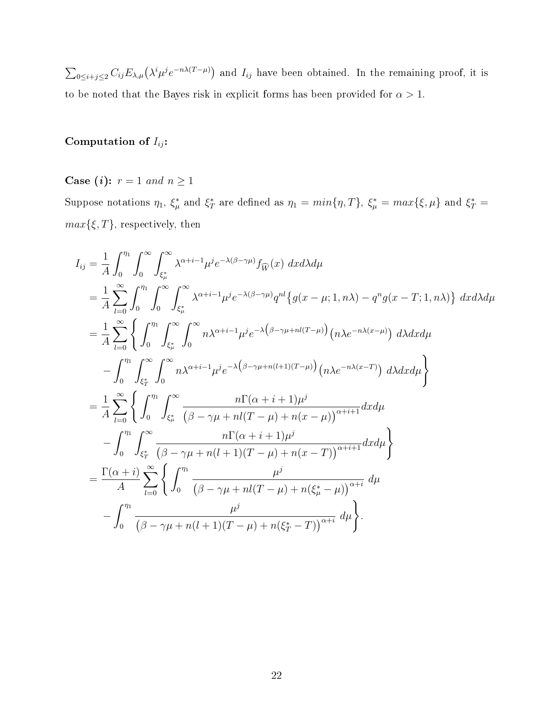$\sum_{0 \leq i+j \leq 2} C_{ij} E_{\lambda,\mu} (\lambda^i \mu^j e^{-n\lambda(T-\mu)})$  and  $I_{ij}$  have been obtained. In the remaining proof, it is to be noted that the Bayes risk in explicit forms has been provided for  $\alpha > 1$ .

#### Computation of  $I_{ij}$ :

Case (*i*):  $r = 1$  and  $n \ge 1$ 

Suppose notations  $\eta_1$ ,  $\xi^*_{\mu}$  and  $\xi^*_{T}$  are defined as  $\eta_1 = min\{\eta, T\}$ ,  $\xi^*_{\mu} = max\{\xi, \mu\}$  and  $\xi^*_{T} =$  $max{ξ, T}$ , respectively, then

$$
I_{ij} = \frac{1}{A} \int_0^{\eta_1} \int_0^{\infty} \int_{\xi_{\mu}^{*}}^{\infty} \lambda^{\alpha+i-1} \mu^{j} e^{-\lambda(\beta-\gamma\mu)} f_{\widehat{W}}(x) dx d\lambda d\mu
$$
  
\n
$$
= \frac{1}{A} \sum_{l=0}^{\infty} \int_0^{\eta_1} \int_0^{\infty} \int_{\xi_{\mu}^{*}}^{\infty} \lambda^{\alpha+i-1} \mu^{j} e^{-\lambda(\beta-\gamma\mu)} q^{nl} \{g(x-\mu;1,n\lambda) - q^n g(x-T;1,n\lambda)\} dx d\lambda d\mu
$$
  
\n
$$
= \frac{1}{A} \sum_{l=0}^{\infty} \left\{ \int_0^{\eta_1} \int_{\xi_{\mu}^{*}}^{\infty} \int_0^{\infty} n \lambda^{\alpha+i-1} \mu^{j} e^{-\lambda(\beta-\gamma\mu+n(l+1)(T-\mu))} (n\lambda e^{-n\lambda(x-\mu)}) d\lambda dx d\mu - \int_0^{\eta_1} \int_{\xi_T^{*}}^{\infty} \int_0^{\infty} n \lambda^{\alpha+i-1} \mu^{j} e^{-\lambda(\beta-\gamma\mu+n(l+1)(T-\mu))} (n\lambda e^{-n\lambda(x-T)}) d\lambda dx d\mu \right\}
$$
  
\n
$$
= \frac{1}{A} \sum_{l=0}^{\infty} \left\{ \int_0^{\eta_1} \int_{\xi_{\mu}^{*}}^{\infty} \frac{n \Gamma(\alpha+i+1) \mu^{j}}{(\beta-\gamma\mu+n(l+1)(T-\mu)+n(x-\mu))^{\alpha+i+1}} dxd\mu - \int_0^{\eta_1} \int_{\xi_T^{*}}^{\infty} \frac{n \Gamma(\alpha+i+1) \mu^{j}}{(\beta-\gamma\mu+n(l+1)(T-\mu)+n(x-T))^{\alpha+i}} d\mu \right\}
$$
  
\n
$$
= \frac{\Gamma(\alpha+i)}{A} \sum_{l=0}^{\infty} \left\{ \int_0^{\eta_1} \frac{\mu^{j}}{(\beta-\gamma\mu+n(l+1)(T-\mu)+n(\xi_{\mu}^{*}-\mu))^{\alpha+i}} d\mu - \int_0^{\eta_1} \frac{\mu^{j}}{(\beta-\gamma\mu+n(l+1)(T-\mu)+n(\xi_T^{*}-T))^{\alpha
$$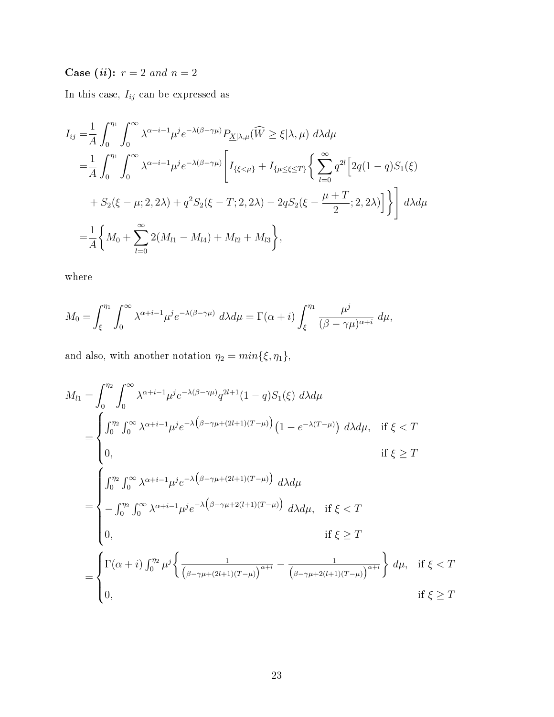Case (*ii*):  $r = 2$  and  $n = 2$ 

In this case,  $\mathcal{I}_{ij}$  can be expressed as

$$
I_{ij} = \frac{1}{A} \int_0^{\eta_1} \int_0^{\infty} \lambda^{\alpha + i - 1} \mu^j e^{-\lambda(\beta - \gamma \mu)} P_{\underline{X} | \lambda, \mu}(\widehat{W} \ge \xi | \lambda, \mu) d\lambda d\mu
$$
  
\n
$$
= \frac{1}{A} \int_0^{\eta_1} \int_0^{\infty} \lambda^{\alpha + i - 1} \mu^j e^{-\lambda(\beta - \gamma \mu)} \left[ I_{\{\xi < \mu\}} + I_{\{\mu \le \xi \le T\}} \left\{ \sum_{l=0}^{\infty} q^{2l} \left[ 2q(1 - q) S_1(\xi) + S_2(\xi - \mu; 2, 2\lambda) + q^2 S_2(\xi - T; 2, 2\lambda) - 2q S_2(\xi - \frac{\mu + T}{2}; 2, 2\lambda) \right] \right\} d\lambda d\mu
$$
  
\n
$$
= \frac{1}{A} \left\{ M_0 + \sum_{l=0}^{\infty} 2(M_{l1} - M_{l4}) + M_{l2} + M_{l3} \right\},
$$

where

$$
M_0 = \int_{\xi}^{\eta_1} \int_0^{\infty} \lambda^{\alpha+i-1} \mu^j e^{-\lambda(\beta-\gamma\mu)} d\lambda d\mu = \Gamma(\alpha+i) \int_{\xi}^{\eta_1} \frac{\mu^j}{(\beta-\gamma\mu)^{\alpha+i}} d\mu,
$$

and also, with another notation  $\eta_2 = min\{\xi, \eta_1\},\$ 

$$
M_{l1} = \int_{0}^{\eta_{2}} \int_{0}^{\infty} \lambda^{\alpha+i-1} \mu^{j} e^{-\lambda(\beta-\gamma\mu)} q^{2l+1} (1-q) S_{1}(\xi) d\lambda d\mu
$$
  
\n
$$
= \begin{cases} \int_{0}^{\eta_{2}} \int_{0}^{\infty} \lambda^{\alpha+i-1} \mu^{j} e^{-\lambda(\beta-\gamma\mu+(2l+1)(T-\mu))} (1-e^{-\lambda(T-\mu)}) d\lambda d\mu, & \text{if } \xi < T \\ 0, & \text{if } \xi \ge T \end{cases}
$$
  
\n
$$
= \begin{cases} \int_{0}^{\eta_{2}} \int_{0}^{\infty} \lambda^{\alpha+i-1} \mu^{j} e^{-\lambda(\beta-\gamma\mu+(2l+1)(T-\mu))} d\lambda d\mu \\ - \int_{0}^{\eta_{2}} \int_{0}^{\infty} \lambda^{\alpha+i-1} \mu^{j} e^{-\lambda(\beta-\gamma\mu+2(l+1)(T-\mu))} d\lambda d\mu, & \text{if } \xi < T \\ 0, & \text{if } \xi \ge T \end{cases}
$$
  
\n
$$
= \begin{cases} \Gamma(\alpha+i) \int_{0}^{\eta_{2}} \mu^{j} \left\{ \frac{1}{(\beta-\gamma\mu+(2l+1)(T-\mu))}^{\alpha+i} - \frac{1}{(\beta-\gamma\mu+2(l+1)(T-\mu))}^{\alpha+i} \right\} d\mu, & \text{if } \xi < T \\ 0, & \text{if } \xi \ge T \end{cases}
$$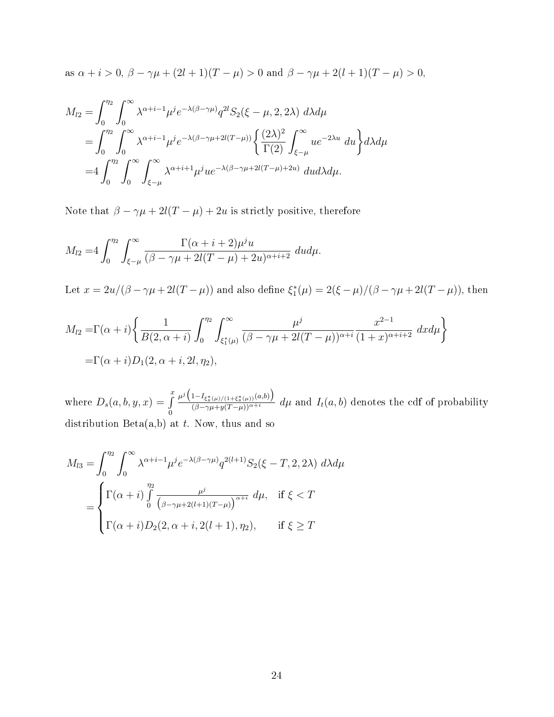as 
$$
\alpha + i > 0
$$
,  $\beta - \gamma \mu + (2l + 1)(T - \mu) > 0$  and  $\beta - \gamma \mu + 2(l + 1)(T - \mu) > 0$ ,

$$
M_{l2} = \int_0^{\eta_2} \int_0^{\infty} \lambda^{\alpha + i - 1} \mu^j e^{-\lambda(\beta - \gamma \mu)} q^{2l} S_2(\xi - \mu, 2, 2\lambda) d\lambda d\mu
$$
  
= 
$$
\int_0^{\eta_2} \int_0^{\infty} \lambda^{\alpha + i - 1} \mu^j e^{-\lambda(\beta - \gamma \mu + 2l(T - \mu))} \left\{ \frac{(2\lambda)^2}{\Gamma(2)} \int_{\xi - \mu}^{\infty} u e^{-2\lambda u} du \right\} d\lambda d\mu
$$
  
= 
$$
4 \int_0^{\eta_2} \int_0^{\infty} \int_{\xi - \mu}^{\infty} \lambda^{\alpha + i + 1} \mu^j u e^{-\lambda(\beta - \gamma \mu + 2l(T - \mu) + 2u)} du d\lambda d\mu.
$$

Note that  $\beta - \gamma \mu + 2l(T - \mu) + 2u$  is strictly positive, therefore

$$
M_{l2}=4\int_0^{\eta_2}\int_{\xi-\mu}^\infty\frac{\Gamma(\alpha+i+2)\mu^j u}{(\beta-\gamma\mu+2l(T-\mu)+2u)^{\alpha+i+2}}\ dud\mu.
$$

Let  $x = 2u/(\beta - \gamma\mu + 2l(T - \mu))$  and also define  $\xi_1^*(\mu) = 2(\xi - \mu)/(\beta - \gamma\mu + 2l(T - \mu))$ , then

$$
M_{l2} = \Gamma(\alpha + i) \left\{ \frac{1}{B(2, \alpha + i)} \int_0^{\eta_2} \int_{\xi_1^*(\mu)}^{\infty} \frac{\mu^j}{(\beta - \gamma \mu + 2l(T - \mu))^{\alpha + i}} \frac{x^{2-1}}{(1+x)^{\alpha + i+2}} dx d\mu \right\}
$$
  
=  $\Gamma(\alpha + i) D_1(2, \alpha + i, 2l, \eta_2),$ 

where  $D_s(a, b, y, x) = \int_a^x$ 0  $\mu^{j}\left(1-I_{\xi_{s}^{*}(\mu)/(1+\xi_{s}^{*}(\mu))}(a,b)\right)$  $\frac{(B-\gamma g_s^*(\mu)/(1+\xi_s^*(\mu))^{(\alpha,\nu)})}{(\beta-\gamma\mu+y(T-\mu))^{\alpha+i}} d\mu$  and  $I_t(a,b)$  denotes the cdf of probability distribution  $Beta(a,b)$  at t. Now, thus and so

$$
M_{l3} = \int_0^{\eta_2} \int_0^{\infty} \lambda^{\alpha+i-1} \mu^j e^{-\lambda(\beta-\gamma\mu)} q^{2(l+1)} S_2(\xi - T, 2, 2\lambda) d\lambda d\mu
$$

$$
= \begin{cases} \Gamma(\alpha+i) \int_0^{\eta_2} \frac{\mu^j}{(\beta-\gamma\mu+2(l+1)(T-\mu))}^{\alpha+i} d\mu, & \text{if } \xi < T \\ \Gamma(\alpha+i) D_2(2, \alpha+i, 2(l+1), \eta_2), & \text{if } \xi \ge T \end{cases}
$$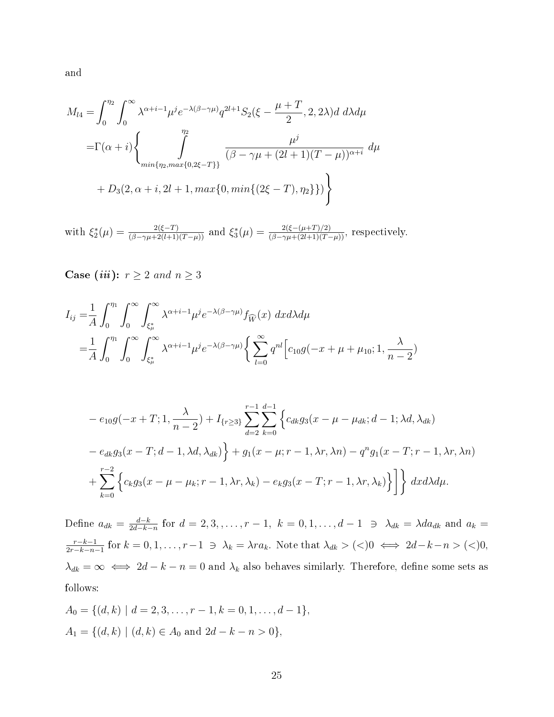and

$$
M_{l4} = \int_0^{\eta_2} \int_0^{\infty} \lambda^{\alpha + i - 1} \mu^j e^{-\lambda(\beta - \gamma \mu)} q^{2l+1} S_2(\xi - \frac{\mu + T}{2}, 2, 2\lambda) d \ d\lambda d\mu
$$
  
=  $\Gamma(\alpha + i) \left\{ \int_{\min\{\eta_2, \max\{0, 2\xi - T\}\}}^{\eta_2} \frac{\mu^j}{(\beta - \gamma \mu + (2l+1)(T - \mu))^{\alpha + i}} d\mu + D_3(2, \alpha + i, 2l + 1, \max\{0, \min\{(2\xi - T), \eta_2\}\}) \right\}$ 

with  $\xi_2^*(\mu) = \frac{2(\xi-T)}{(\beta-\gamma\mu+2(l+1)(T-\mu))}$  and  $\xi_3^*(\mu) = \frac{2(\xi-(\mu+T)/2)}{(\beta-\gamma\mu+(2l+1)(T-\mu))}$ , respectively.

Case *(iii)*:  $r \geq 2$  and  $n \geq 3$ 

$$
I_{ij} = \frac{1}{A} \int_0^{\eta_1} \int_0^{\infty} \int_{\xi_{\mu}^*}^{\infty} \lambda^{\alpha+i-1} \mu^j e^{-\lambda(\beta-\gamma\mu)} f_{\widehat{W}}(x) dx d\lambda d\mu
$$
  
= 
$$
\frac{1}{A} \int_0^{\eta_1} \int_0^{\infty} \int_{\xi_{\mu}^*}^{\infty} \lambda^{\alpha+i-1} \mu^j e^{-\lambda(\beta-\gamma\mu)} \left\{ \sum_{l=0}^{\infty} q^{nl} \left[ c_{10} g(-x+\mu+\mu_{10}; 1, \frac{\lambda}{n-2}) \right] \right\} d\mu
$$

$$
-e_{10}g(-x+T; 1, \frac{\lambda}{n-2}) + I_{\{r \ge 3\}} \sum_{d=2}^{r-1} \sum_{k=0}^{d-1} \left\{ c_{dk}g_3(x-\mu-\mu_{dk}; d-1; \lambda d, \lambda_{dk}) - e_{dk}g_3(x-T; d-1, \lambda d, \lambda_{dk}) \right\} + g_1(x-\mu; r-1, \lambda r, \lambda n) - q^n g_1(x-T; r-1, \lambda r, \lambda n) + \sum_{k=0}^{r-2} \left\{ c_k g_3(x-\mu-\mu_k; r-1, \lambda r, \lambda_k) - e_k g_3(x-T; r-1, \lambda r, \lambda_k) \right\} \right\} dx d\lambda d\mu.
$$

Define  $a_{dk} = \frac{d-k}{2d-k}$  $\frac{d-k}{2d-k-n}$  for  $d=2,3,$ ,..., $r-1$ ,  $k=0,1$ ,..., $d-1$  ∋  $\lambda_{dk} = \lambda da_{dk}$  and  $a_k =$  $r-k-1$  $\frac{r-k-1}{2r-k-n-1}$  for  $k = 0, 1, \ldots, r-1 \Rightarrow \lambda_k = \lambda r a_k$ . Note that  $\lambda_{dk} > (<)0 \iff 2d-k-n > (<)0,$  $\lambda_{dk} = \infty \iff 2d - k - n = 0$  and  $\lambda_k$  also behaves similarly. Therefore, define some sets as follows:

$$
A_0 = \{(d, k) \mid d = 2, 3, \dots, r - 1, k = 0, 1, \dots, d - 1\},\newline A_1 = \{(d, k) \mid (d, k) \in A_0 \text{ and } 2d - k - n > 0\},\newline
$$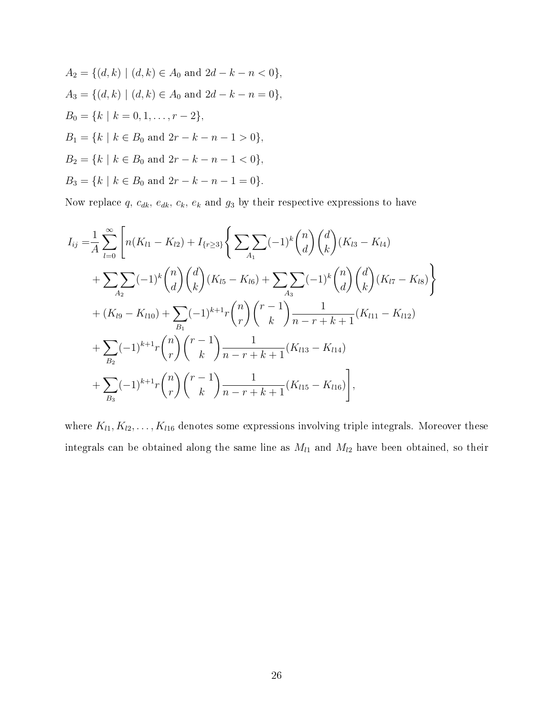$$
A_2 = \{(d, k) \mid (d, k) \in A_0 \text{ and } 2d - k - n < 0\},
$$
\n
$$
A_3 = \{(d, k) \mid (d, k) \in A_0 \text{ and } 2d - k - n = 0\},
$$
\n
$$
B_0 = \{k \mid k = 0, 1, \dots, r - 2\},
$$
\n
$$
B_1 = \{k \mid k \in B_0 \text{ and } 2r - k - n - 1 > 0\},
$$
\n
$$
B_2 = \{k \mid k \in B_0 \text{ and } 2r - k - n - 1 < 0\},
$$
\n
$$
B_3 = \{k \mid k \in B_0 \text{ and } 2r - k - n - 1 = 0\}.
$$

Now replace q,  $c_{dk}$ ,  $e_{dk}$ ,  $c_k$ ,  $e_k$  and  $g_3$  by their respective expressions to have

$$
I_{ij} = \frac{1}{A} \sum_{l=0}^{\infty} \left[ n(K_{l1} - K_{l2}) + I_{\{r \geq 3\}} \left\{ \sum_{A_1} (-1)^k {n \choose d} {d \choose k} (K_{l3} - K_{l4}) \right. \\ \left. + \sum_{A_2} (-1)^k {n \choose d} {d \choose k} (K_{l5} - K_{l6}) + \sum_{A_3} (-1)^k {n \choose d} {d \choose k} (K_{l7} - K_{l8}) \right\} \\ \left. + (K_{l9} - K_{l10}) + \sum_{B_1} (-1)^{k+1} r {n \choose r} {r-1 \choose k} \frac{1}{n-r+k+1} (K_{l11} - K_{l12}) \\ \left. + \sum_{B_2} (-1)^{k+1} r {n \choose r} {r-1 \choose k} \frac{1}{n-r+k+1} (K_{l13} - K_{l14}) \\ \left. + \sum_{B_3} (-1)^{k+1} r {n \choose r} {r-1 \choose k} \frac{1}{n-r+k+1} (K_{l15} - K_{l16}) \right],
$$

where  $K_{l1}, K_{l2}, \ldots, K_{l16}$  denotes some expressions involving triple integrals. Moreover these integrals can be obtained along the same line as  $M_{l1}$  and  $M_{l2}$  have been obtained, so their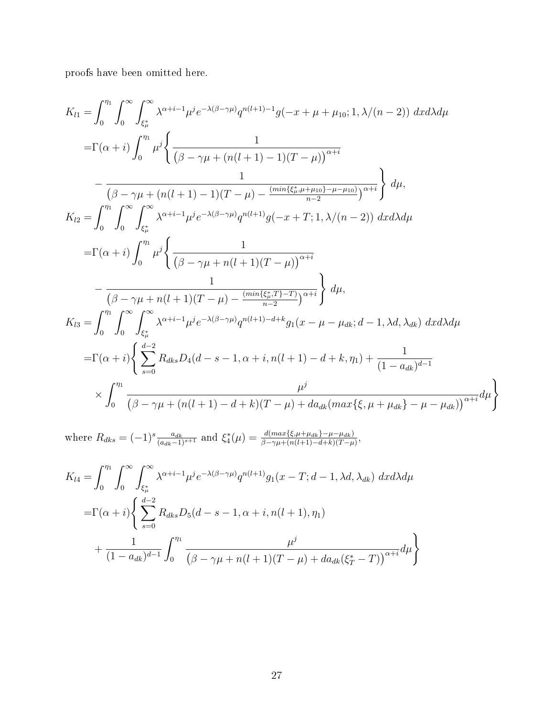proofs have been omitted here.

$$
K_{l1} = \int_{0}^{n_{l}} \int_{0}^{\infty} \int_{\xi_{\mu}^{*}}^{\infty} \lambda^{\alpha+i-1} \mu^{j} e^{-\lambda(\beta-\gamma\mu)} q^{n(l+1)-1} g(-x+\mu+\mu_{10}; 1, \lambda/(n-2)) dx d\lambda d\mu
$$
  
\n
$$
= \Gamma(\alpha+i) \int_{0}^{n_{l}} \mu^{j} \left\{ \frac{1}{(\beta-\gamma\mu+(n(l+1)-1)(T-\mu))^{n+i}} - \frac{1}{(\beta-\gamma\mu+(n(l+1)-1)(T-\mu)-\frac{(min\{\xi_{\mu}^{*},\mu+\mu_{10}\})-\mu-\mu_{10})}{n-2})^{\alpha+i}} \right\} d\mu,
$$
  
\n
$$
K_{l2} = \int_{0}^{n_{l}} \int_{0}^{\infty} \int_{\xi_{\mu}^{*}}^{\infty} \lambda^{\alpha+i-1} \mu^{j} e^{-\lambda(\beta-\gamma\mu)} q^{n(l+1)} g(-x+T; 1, \lambda/(n-2)) dx d\lambda d\mu
$$
  
\n
$$
= \Gamma(\alpha+i) \int_{0}^{n_{l}} \mu^{j} \left\{ \frac{1}{(\beta-\gamma\mu+n(l+1)(T-\mu))^{n+i}} - \frac{1}{(\beta-\gamma\mu+n(l+1)(T-\mu)-\frac{(min\{\xi_{\mu}^{*},T\}-T)}{n-2})^{\alpha+i}} \right\} d\mu,
$$
  
\n
$$
K_{l3} = \int_{0}^{n_{l}} \int_{0}^{\infty} \int_{\xi_{\mu}^{*}}^{\infty} \lambda^{\alpha+i-1} \mu^{j} e^{-\lambda(\beta-\gamma\mu)} q^{n(l+1)-d+k} g_{1}(x-\mu-\mu_{dk}; d-1, \lambda d, \lambda_{dk}) dx d\lambda d\mu
$$
  
\n
$$
= \Gamma(\alpha+i) \left\{ \sum_{s=0}^{d-2} R_{dks} D_{4}(d-s-1, \alpha+i, n(l+1)-d+k, \eta_{1}) + \frac{1}{(1-a_{dk})^{d-1}} - \frac{\mu^{j}}{(\beta-\gamma\mu+(n(l+1)-d+k)(T-\mu)+da_{dk}(max\{\xi,\mu+\mu_{dk}\}-\mu-\mu_{dk})\right)^{\alpha+i}} d\mu \right\}
$$

 $\left\{ \right.$ 

where  $R_{dks} = (-1)^s \frac{a_{dk}}{(a_{dk}-1)^{s+1}}$  and  $\xi_4^*(\mu) = \frac{d(max\{\xi, \mu + \mu_{dk}\} - \mu - \mu_{dk})}{\beta - \gamma \mu + (n(l+1) - d + k)(T - \mu)},$ 

$$
K_{l4} = \int_0^{\eta_1} \int_0^{\infty} \int_{\xi_{\mu}^*}^{\infty} \lambda^{\alpha + i - 1} \mu^j e^{-\lambda(\beta - \gamma \mu)} q^{n(l+1)} g_1(x - T; d - 1, \lambda d, \lambda_{dk}) dx d\lambda d\mu
$$
  
=  $\Gamma(\alpha + i) \left\{ \sum_{s=0}^{d-2} R_{dks} D_5(d - s - 1, \alpha + i, n(l+1), \eta_1) + \frac{1}{(1 - a_{dk})^{d-1}} \int_0^{\eta_1} \frac{\mu^j}{(\beta - \gamma \mu + n(l+1)(T - \mu) + da_{dk}(\xi_T^* - T))^{\alpha + i}} d\mu \right\}$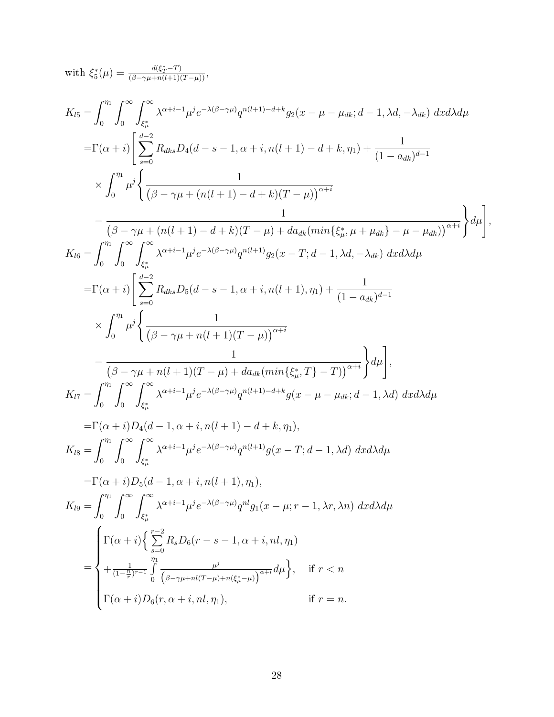with  $\xi_5^*(\mu) = \frac{d(\xi_T^*-T)}{(\beta-\gamma\mu+n(l+1)(T-\mu))},$ 

$$
K_{l5} = \int_{0}^{r_{\text{H}}} \int_{0}^{\infty} \int_{\xi_{\mu}^{*}}^{\infty} \lambda^{\alpha+i-1} \mu^{j} e^{-\lambda(\beta-\gamma)\mu} q^{n(l+1)-d+k} g_{2}(x-\mu-\mu_{dk}; d-1, \lambda d, -\lambda_{dk}) dxd\lambda d\mu
$$
\n
$$
= \Gamma(\alpha+i) \left[ \sum_{s=0}^{d-2} R_{dks} D_{4}(d-s-1, \alpha+i, n(l+1)-d+k, \eta_{1}) + \frac{1}{(1-a_{dk})^{d-1}} \right. \times \int_{0}^{r_{\text{H}}} \mu^{j} \left\{ \frac{1}{(\beta-\gamma\mu+(n(l+1)-d+k)(T-\mu))^{a+i}} \right. \left. - \frac{1}{(\beta-\gamma\mu+(n(l+1)-d+k)(T-\mu)+da_{dk}(min\{\xi_{\mu}^{*}, \mu+\mu_{dk}\}-\mu-\mu_{dk}))^{a+i}} \right\} d\mu \right],
$$
\n
$$
K_{l6} = \int_{0}^{r_{\text{H}}} \int_{0}^{\infty} \int_{\xi_{\mu}^{*}}^{\infty} \lambda^{\alpha+i-1} \mu^{j} e^{-\lambda(\beta-\gamma)\mu} q^{n(l+1)} g_{2}(x-T; d-1, \lambda d, -\lambda_{dk}) dxd\lambda d\mu
$$
\n
$$
= \Gamma(\alpha+i) \left[ \sum_{s=0}^{d-2} R_{dks} D_{5}(d-s-1, \alpha+i, n(l+1), \eta_{1}) + \frac{1}{(1-a_{dk})^{d-1}} \right. \times \int_{0}^{r_{\text{H}}} \mu^{j} \left\{ \frac{1}{(\beta-\gamma\mu+n(l+1)(T-\mu))^{\alpha+i}} \right. \left. - \frac{1}{(\beta-\gamma\mu+n(l+1)(T-\mu)+da_{dk}(min\{\xi_{\mu}^{*}, T\}-T))^{\alpha+i}} \right\} d\mu \right],
$$
\n
$$
K_{l7} = \int_{0}^{r_{\text{H}}} \int_{0}^{\infty} \int_{\xi_{\mu}^{*}}^{\infty} \lambda^{\alpha+i-1} \mu^{j} e^{-\lambda(\beta-\gamma)\mu} q^{n(l+1)-d+k} g(x-\mu-\mu_{dk}; d-1, \lambda d) dxd\lambda d\mu
$$
\n
$$
= \Gamma
$$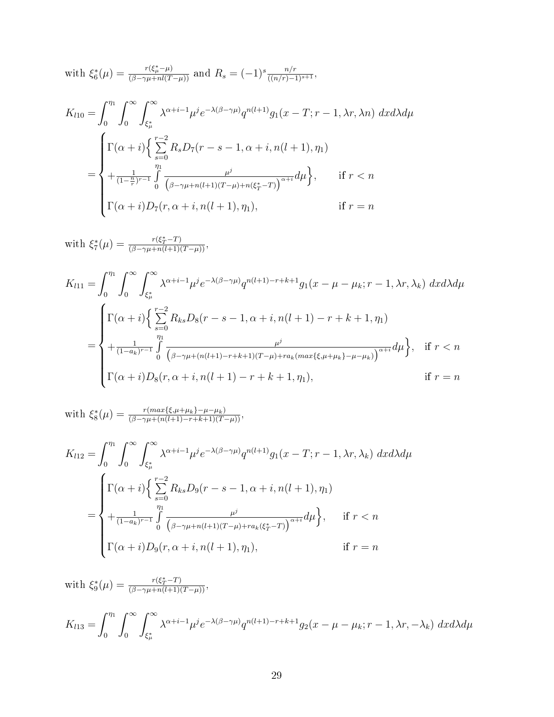with 
$$
\xi_6^*(\mu) = \frac{r(\xi_{\mu}^* - \mu)}{(\beta - \gamma \mu + nI(T - \mu))}
$$
 and  $R_s = (-1)^s \frac{n/r}{((n/r) - 1)^{s+1}}$ ,

$$
K_{l10} = \int_0^{\eta_1} \int_0^{\infty} \int_{\xi_{\mu}^{*}}^{\infty} \lambda^{\alpha+i-1} \mu^{j} e^{-\lambda(\beta-\gamma\mu)} q^{n(l+1)} g_1(x-T; r-1, \lambda r, \lambda n) dx d\lambda d\mu
$$
  
= 
$$
\begin{cases} \Gamma(\alpha+i) \Big\{ \sum_{s=0}^{r-2} R_s D_7(r-s-1, \alpha+i, n(l+1), \eta_1) \\ + \frac{\eta_1}{(1-\frac{n}{r})^{r-1}} \int_0^{\eta_1} \frac{\mu^j}{(\beta-\gamma\mu+n(l+1)(T-\mu)+n(\xi_T^*-T))^{\alpha+i}} d\mu \Big\}, & \text{if } r < n \\ \Gamma(\alpha+i) D_7(r, \alpha+i, n(l+1), \eta_1), & \text{if } r = n \end{cases}
$$

with  $\xi_7^*(\mu) = \frac{r(\xi_T^*-T)}{(\beta-\gamma\mu+n(l+1)(T-\mu))},$ 

$$
K_{l11} = \int_0^{\eta_1} \int_0^{\infty} \int_{\xi_{\mu}^*}^{\infty} \lambda^{\alpha+i-1} \mu^j e^{-\lambda(\beta-\gamma\mu)} q^{n(l+1)-r+k+1} g_1(x-\mu-\mu_k; r-1, \lambda r, \lambda_k) dx d\lambda d\mu
$$
  

$$
= \begin{cases} \Gamma(\alpha+i) \Big\{ \sum_{s=0}^{r-2} R_{ks} D_8(r-s-1, \alpha+i, n(l+1)-r+k+1, \eta_1) \\ + \frac{\eta_1}{(1-a_k)^{r-1}} \int_0^{\eta_1} \frac{\mu^j}{(\beta-\gamma\mu+(n(l+1)-r+k+1)(T-\mu)+ra_k(max\{\xi, \mu+\mu_k\}-\mu-\mu_k))}^{\alpha+i} d\mu \Big\}, & \text{if } r < n \\ \Gamma(\alpha+i) D_8(r, \alpha+i, n(l+1)-r+k+1, \eta_1), & \text{if } r = n \end{cases}
$$

with  $\xi_8^*(\mu) = \frac{r(max\{\xi,\mu+\mu_k\}-\mu-\mu_k)}{(\beta-\gamma\mu+(n(l+1)-r+k+1)(T-\mu))},$ 

$$
K_{l12} = \int_0^{\eta_1} \int_0^{\infty} \int_{\xi_{\mu}^*}^{\infty} \lambda^{\alpha+i-1} \mu^j e^{-\lambda(\beta-\gamma\mu)} q^{n(l+1)} g_1(x-T; r-1, \lambda r, \lambda_k) dx d\lambda d\mu
$$
  
= 
$$
\begin{cases} \Gamma(\alpha+i) \Big\{ \sum_{s=0}^{r-2} R_{ks} D_9(r-s-1, \alpha+i, n(l+1), \eta_1) \\ + \frac{\eta_1}{(1-a_k)^{r-1}} \int_0^{\eta_1} \frac{\mu^j}{(\beta-\gamma\mu+n(l+1)(T-\mu)+ra_k(\xi_T^*-T))^{a+i}} d\mu \Big\}, & \text{if } r < n \\ \Gamma(\alpha+i) D_9(r, \alpha+i, n(l+1), \eta_1), & \text{if } r = n \end{cases}
$$

with 
$$
\xi_9^*(\mu) = \frac{r(\xi_7^* - T)}{(\beta - \gamma \mu + n(l+1)(T - \mu))}
$$
,  
\n
$$
K_{l13} = \int_0^{\eta_1} \int_0^{\infty} \int_{\xi_{\mu}^*}^{\infty} \lambda^{\alpha + i - 1} \mu^j e^{-\lambda(\beta - \gamma \mu)} q^{n(l+1) - r + k + 1} g_2(x - \mu - \mu_k; r - 1, \lambda r, -\lambda_k) dxd\lambda d\mu
$$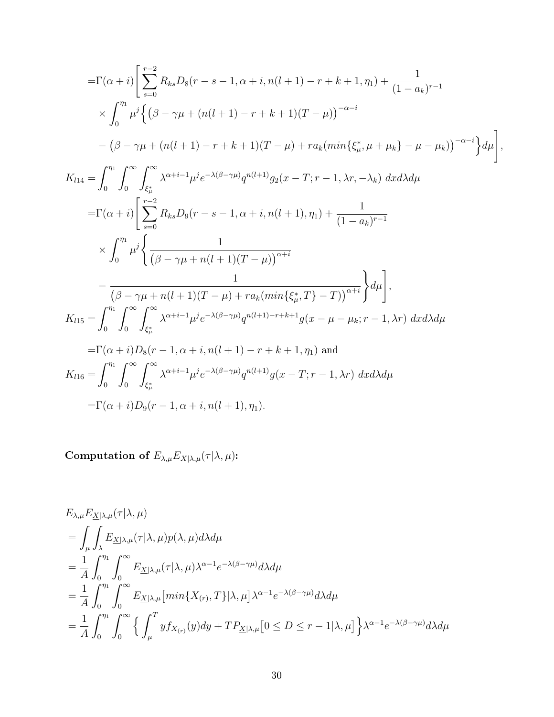$$
= \Gamma(\alpha + i) \left[ \sum_{s=0}^{r-2} R_{ks} D_8(r - s - 1, \alpha + i, n(l+1) - r + k + 1, \eta_1) + \frac{1}{(1 - a_k)^{r-1}} \right]
$$
  
\n
$$
\times \int_0^{\eta_1} \mu^j \left\{ (\beta - \gamma \mu + (n(l+1) - r + k + 1)(T - \mu))^{-\alpha - i} \right.
$$
  
\n
$$
= (\beta - \gamma \mu + (n(l+1) - r + k + 1)(T - \mu) + ra_k(min\{\xi_{\mu}^*, \mu + \mu_k\} - \mu - \mu_k))^{-\alpha - i} \right\} d\mu
$$
  
\n
$$
K_{l14} = \int_0^{\eta_1} \int_0^{\infty} \int_{\xi_{\mu}^*}^{\infty} \lambda^{\alpha + i - 1} \mu^j e^{-\lambda(\beta - \gamma \mu)} q^{n(l+1)} g_2(x - T; r - 1, \lambda r, -\lambda_k) \, dx d\lambda d\mu
$$
  
\n
$$
= \Gamma(\alpha + i) \left[ \sum_{s=0}^{r-2} R_{ks} D_9(r - s - 1, \alpha + i, n(l+1), \eta_1) + \frac{1}{(1 - a_k)^{r-1}} \right.
$$
  
\n
$$
\times \int_0^{\eta_1} \mu^j \left\{ \frac{1}{(\beta - \gamma \mu + n(l+1)(T - \mu))^{ \alpha + i}} \right\} d\mu \right],
$$
  
\n
$$
K_{l15} = \int_0^{\eta_1} \int_0^{\infty} \int_{\xi_{\mu}^*}^{\infty} \lambda^{\alpha + i - 1} \mu^j e^{-\lambda(\beta - \gamma \mu)} q^{n(l+1) - r + k + 1} g(x - \mu - \mu_k; r - 1, \lambda r) \, dx d\lambda d\mu
$$
  
\n
$$
= \Gamma(\alpha + i) D_8(r - 1, \alpha + i, n(l+1) - r + k + 1, \eta_1) \text{ and}
$$
  
\n
$$
K_{l16} = \int_0^{\eta_1} \int_0^{\infty} \int_{\xi_{\mu}^*}^{\infty} \lambda^{\alpha + i - 1} \mu^j e^{-\lambda(\beta - \gamma \
$$

Computation of  $E_{\lambda,\mu}E_{\underline{X}|\lambda,\mu}(\tau|\lambda,\mu)$ :

$$
E_{\lambda,\mu}E_{\underline{X}|\lambda,\mu}(\tau|\lambda,\mu)
$$
  
= 
$$
\int_{\mu}\int_{\lambda}E_{\underline{X}|\lambda,\mu}(\tau|\lambda,\mu)p(\lambda,\mu)d\lambda d\mu
$$
  
= 
$$
\frac{1}{A}\int_{0}^{\eta_{1}}\int_{0}^{\infty}E_{\underline{X}|\lambda,\mu}(\tau|\lambda,\mu)\lambda^{\alpha-1}e^{-\lambda(\beta-\gamma\mu)}d\lambda d\mu
$$
  
= 
$$
\frac{1}{A}\int_{0}^{\eta_{1}}\int_{0}^{\infty}E_{\underline{X}|\lambda,\mu}\left[\min\{X_{(r)},T\}|\lambda,\mu\right]\lambda^{\alpha-1}e^{-\lambda(\beta-\gamma\mu)}d\lambda d\mu
$$
  
= 
$$
\frac{1}{A}\int_{0}^{\eta_{1}}\int_{0}^{\infty}\left\{\int_{\mu}^{T}yf_{X_{(r)}}(y)dy+TP_{\underline{X}|\lambda,\mu}\left[0\leq D\leq r-1|\lambda,\mu\right]\right\}\lambda^{\alpha-1}e^{-\lambda(\beta-\gamma\mu)}d\lambda d\mu
$$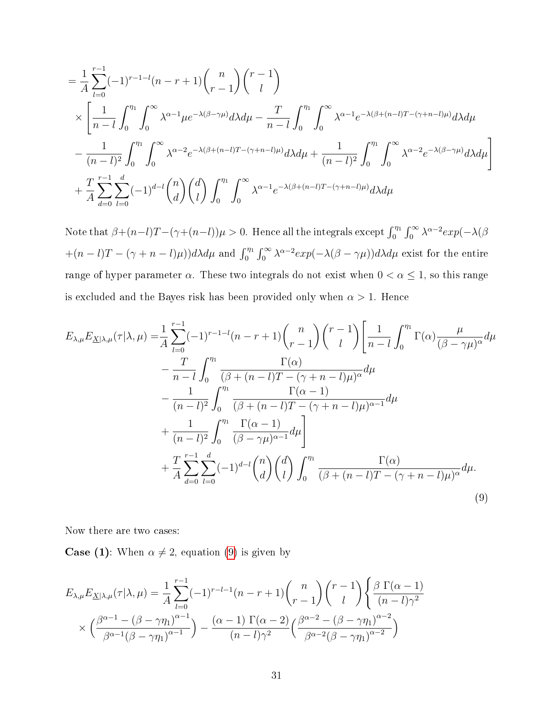$$
= \frac{1}{A} \sum_{l=0}^{r-1} (-1)^{r-1-l} (n-r+1) {n \choose r-1} {r-1 \choose l}
$$
  
 
$$
\times \left[ \frac{1}{n-l} \int_{0}^{\eta_1} \int_{0}^{\infty} \lambda^{\alpha-1} \mu e^{-\lambda(\beta-\gamma\mu)} d\lambda d\mu - \frac{T}{n-l} \int_{0}^{\eta_1} \int_{0}^{\infty} \lambda^{\alpha-1} e^{-\lambda(\beta+(n-l)T-(\gamma+n-l)\mu)} d\lambda d\mu - \frac{1}{(n-l)^2} \int_{0}^{\eta_1} \int_{0}^{\infty} \lambda^{\alpha-2} e^{-\lambda(\beta+(n-l)T-(\gamma+n-l)\mu)} d\lambda d\mu + \frac{1}{(n-l)^2} \int_{0}^{\eta_1} \int_{0}^{\infty} \lambda^{\alpha-2} e^{-\lambda(\beta-\gamma\mu)} d\lambda d\mu \right] + \frac{T}{A} \sum_{d=0}^{r-1} \sum_{l=0}^{d} (-1)^{d-l} {n \choose d} {d \choose l} \int_{0}^{\eta_1} \int_{0}^{\infty} \lambda^{\alpha-1} e^{-\lambda(\beta+(n-l)T-(\gamma+n-l)\mu)} d\lambda d\mu
$$

Note that  $\beta+(n-l)T-(\gamma+(n-l))\mu>0$ . Hence all the integrals except  $\int_0^{\eta_1}\int_0^\infty \lambda^{\alpha-2}exp(-\lambda(\beta-\alpha))\mu$  $+(n-l)T-(\gamma+n-l)\mu)$ )d $\lambda d\mu$  and  $\int_0^{\eta_1} \int_0^{\infty} \lambda^{\alpha-2} exp(-\lambda(\beta-\gamma\mu))d\lambda d\mu$  exist for the entire range of hyper parameter  $\alpha$ . These two integrals do not exist when  $0 < \alpha \leq 1$ , so this range is excluded and the Bayes risk has been provided only when  $\alpha > 1$ . Hence

$$
E_{\lambda,\mu}E_{\underline{X}|\lambda,\mu}(\tau|\lambda,\mu) = \frac{1}{A} \sum_{l=0}^{r-1} (-1)^{r-1-l} (n-r+1) {n \choose r-1} {r-1 \choose l} \left[ \frac{1}{n-l} \int_0^{\eta_1} \Gamma(\alpha) \frac{\mu}{(\beta-\gamma\mu)^{\alpha}} d\mu - \frac{T}{n-l} \int_0^{\eta_1} \frac{\Gamma(\alpha)}{(\beta+(n-l)T-(\gamma+n-l)\mu)^{\alpha}} d\mu - \frac{1}{(n-l)^2} \int_0^{\eta_1} \frac{\Gamma(\alpha-1)}{(\beta+(n-l)T-(\gamma+n-l)\mu)^{\alpha-1}} d\mu + \frac{1}{(n-l)^2} \int_0^{\eta_1} \frac{\Gamma(\alpha-1)}{(\beta-\gamma\mu)^{\alpha-1}} d\mu + \frac{T}{A} \sum_{d=0}^{r-1} \sum_{l=0}^d (-1)^{d-l} {n \choose d} {d \choose l} \int_0^{\eta_1} \frac{\Gamma(\alpha)}{(\beta+(n-l)T-(\gamma+n-l)\mu)^{\alpha}} d\mu.
$$
\n(9)

<span id="page-30-0"></span>Now there are two cases:

**Case (1)**: When  $\alpha \neq 2$ , equation [\(9\)](#page-30-0) is given by

$$
E_{\lambda,\mu}E_{\underline{X}|\lambda,\mu}(\tau|\lambda,\mu) = \frac{1}{A} \sum_{l=0}^{r-1} (-1)^{r-l-1} (n-r+1) {n \choose r-1} {r-1 \choose l} \left\{ \frac{\beta \Gamma(\alpha-1)}{(n-l)\gamma^2} \right. \\ \times \left. \left( \frac{\beta^{\alpha-1} - (\beta-\gamma\eta_1)^{\alpha-1}}{\beta^{\alpha-1} (\beta-\gamma\eta_1)^{\alpha-1}} \right) - \frac{(\alpha-1) \Gamma(\alpha-2)}{(n-l)\gamma^2} \left( \frac{\beta^{\alpha-2} - (\beta-\gamma\eta_1)^{\alpha-2}}{\beta^{\alpha-2} (\beta-\gamma\eta_1)^{\alpha-2}} \right) \right\}
$$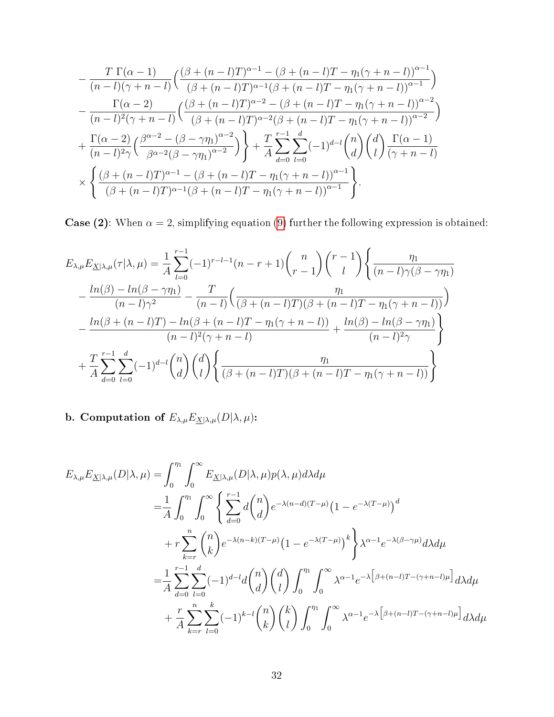$$
-\frac{T \Gamma(\alpha - 1)}{(n-l)(\gamma + n - l)} \left( \frac{(\beta + (n-l)T)^{\alpha - 1} - (\beta + (n-l)T - \eta_1(\gamma + n - l))^{\alpha - 1}}{(\beta + (n-l)T)^{\alpha - 1}(\beta + (n-l)T - \eta_1(\gamma + n - l))^{\alpha - 1}} \right) -\frac{\Gamma(\alpha - 2)}{(n-l)^2(\gamma + n - l)} \left( \frac{(\beta + (n-l)T)^{\alpha - 2} - (\beta + (n-l)T - \eta_1(\gamma + n - l))^{\alpha - 2}}{(\beta + (n-l)T)^{\alpha - 2}(\beta + (n-l)T - \eta_1(\gamma + n - l))^{\alpha - 2}} \right) +\frac{\Gamma(\alpha - 2)}{(n-l)^2\gamma} \left( \frac{\beta^{\alpha - 2} - (\beta - \gamma\eta_1)^{\alpha - 2}}{\beta^{\alpha - 2}(\beta - \gamma\eta_1)^{\alpha - 2}} \right) + \frac{T}{A} \sum_{d=0}^{r-1} \sum_{l=0}^{d} (-1)^{d-l} {n \choose d} {d \choose l} \frac{\Gamma(\alpha - 1)}{(\gamma + n - l)} \times \left\{ \frac{(\beta + (n-l)T)^{\alpha - 1} - (\beta + (n-l)T - \eta_1(\gamma + n - l))^{\alpha - 1}}{(\beta + (n-l)T)^{\alpha - 1}(\beta + (n-l)T - \eta_1(\gamma + n - l))^{\alpha - 1}} \right\}.
$$

**Case (2):** When  $\alpha = 2$ , simplifying equation [\(9\)](#page-30-0) further the following expression is obtained:

$$
E_{\lambda,\mu}E_{\underline{X}|\lambda,\mu}(\tau|\lambda,\mu) = \frac{1}{A} \sum_{l=0}^{r-1} (-1)^{r-l-1} (n-r+1) {n \choose r-1} {r-1 \choose l} \left\{ \frac{\eta_1}{(n-l)\gamma(\beta-\gamma\eta_1)} - \frac{\ln(\beta)-\ln(\beta-\gamma\eta_1)}{(n-l)\gamma^2} - \frac{T}{(n-l)} \left( \frac{\eta_1}{(\beta+(n-l)T)(\beta+(n-l)T-\eta_1(\gamma+n-l))} \right) \right\}
$$

$$
-\frac{\ln(\beta+(n-l)T)-\ln(\beta+(n-l)T-\eta_1(\gamma+n-l))}{(n-l)^2(\gamma+n-l)} + \frac{\ln(\beta)-\ln(\beta-\gamma\eta_1)}{(n-l)^2\gamma} + \frac{T}{A} \sum_{d=0}^{r-1} \sum_{l=0}^{d} (-1)^{d-l} {n \choose d} {d \choose l} \left\{ \frac{\eta_1}{(\beta+(n-l)T)(\beta+(n-l)T-\eta_1(\gamma+n-l))} \right\}
$$

b. Computation of  $E_{\lambda,\mu}E_{\underline{X}|\lambda,\mu}(D|\lambda,\mu)$ :

$$
E_{\lambda,\mu}E_{\underline{X}|\lambda,\mu}(D|\lambda,\mu) = \int_0^{\eta_1} \int_0^{\infty} E_{\underline{X}|\lambda,\mu}(D|\lambda,\mu)p(\lambda,\mu)d\lambda d\mu
$$
  
\n
$$
= \frac{1}{A} \int_0^{\eta_1} \int_0^{\infty} \left\{ \sum_{d=0}^{r-1} d\binom{n}{d} e^{-\lambda(n-d)(T-\mu)} \left( 1 - e^{-\lambda(T-\mu)} \right)^d \right\}
$$
  
\n
$$
+ r \sum_{k=r}^n \binom{n}{k} e^{-\lambda(n-k)(T-\mu)} \left( 1 - e^{-\lambda(T-\mu)} \right)^k \right\} \lambda^{\alpha-1} e^{-\lambda(\beta-\gamma\mu)} d\lambda d\mu
$$
  
\n
$$
= \frac{1}{A} \sum_{d=0}^{r-1} \sum_{l=0}^d (-1)^{d-l} d\binom{n}{d} \left( \begin{array}{c} d \\ l \end{array} \right) \int_0^{\eta_1} \int_0^{\infty} \lambda^{\alpha-1} e^{-\lambda \left[ \beta + (n-l)T - (\gamma + n-l)\mu \right]} d\lambda d\mu
$$
  
\n
$$
+ \frac{r}{A} \sum_{k=r}^n \sum_{l=0}^k (-1)^{k-l} \binom{n}{k} \binom{k}{l} \int_0^{\eta_1} \int_0^{\infty} \lambda^{\alpha-1} e^{-\lambda \left[ \beta + (n-l)T - (\gamma + n-l)\mu \right]} d\lambda d\mu
$$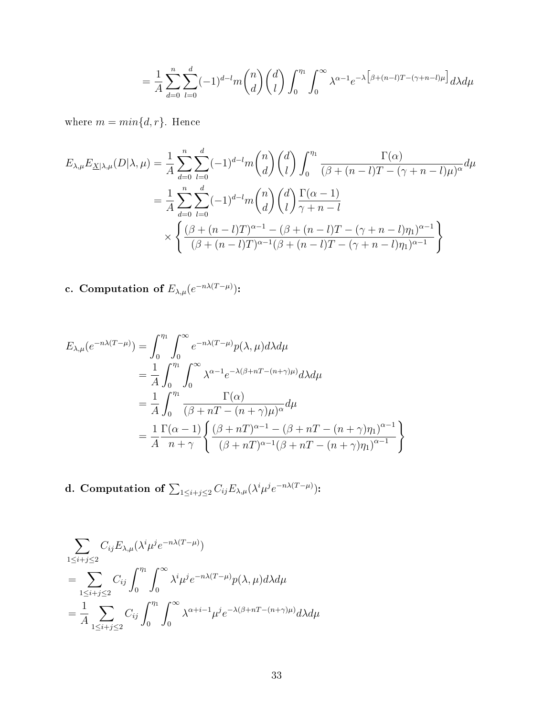$$
= \frac{1}{A}\sum_{d=0}^{n}\sum_{l=0}^{d}(-1)^{d-l}m\binom{n}{d}\binom{d}{l}\int_{0}^{\eta_{1}}\int_{0}^{\infty}\lambda^{\alpha-1}e^{-\lambda\left[\beta+(n-l)T-(\gamma+n-l)\mu\right]}d\lambda d\mu
$$

where  $m = min{d, r}$ . Hence

$$
E_{\lambda,\mu}E_{\underline{X}|\lambda,\mu}(D|\lambda,\mu) = \frac{1}{A} \sum_{d=0}^{n} \sum_{l=0}^{d} (-1)^{d-l} m \binom{n}{d} \binom{d}{l} \int_{0}^{\eta_{1}} \frac{\Gamma(\alpha)}{(\beta + (n-l)T - (\gamma + n-l)\mu)^{\alpha}} d\mu
$$
  

$$
= \frac{1}{A} \sum_{d=0}^{n} \sum_{l=0}^{d} (-1)^{d-l} m \binom{n}{d} \binom{d}{l} \frac{\Gamma(\alpha - 1)}{\gamma + n - l}
$$
  

$$
\times \left\{ \frac{(\beta + (n-l)T)^{\alpha - 1} - (\beta + (n-l)T - (\gamma + n-l)\eta_{1})^{\alpha - 1}}{(\beta + (n-l)T)^{\alpha - 1}(\beta + (n-l)T - (\gamma + n-l)\eta_{1})^{\alpha - 1}} \right\}
$$

c. Computation of  $E_{\lambda,\mu}(e^{-n\lambda(T-\mu)})$ :

$$
E_{\lambda,\mu}(e^{-n\lambda(T-\mu)}) = \int_0^{\eta_1} \int_0^{\infty} e^{-n\lambda(T-\mu)} p(\lambda,\mu) d\lambda d\mu
$$
  
=  $\frac{1}{A} \int_0^{\eta_1} \int_0^{\infty} \lambda^{\alpha-1} e^{-\lambda(\beta+nT-(n+\gamma)\mu)} d\lambda d\mu$   
=  $\frac{1}{A} \int_0^{\eta_1} \frac{\Gamma(\alpha)}{(\beta+nT-(n+\gamma)\mu)^{\alpha}} d\mu$   
=  $\frac{1}{A} \frac{\Gamma(\alpha-1)}{n+\gamma} \left\{ \frac{(\beta+nT)^{\alpha-1} - (\beta+nT-(n+\gamma)\eta_1)^{\alpha-1}}{(\beta+nT)^{\alpha-1}(\beta+nT-(n+\gamma)\eta_1)^{\alpha-1}} \right\}$ 

d. Computation of  $\sum_{1\leq i+j\leq 2}C_{ij}E_{\lambda,\mu}(\lambda^i\mu^je^{-n\lambda(T-\mu)})$ :

$$
\sum_{1 \leq i+j \leq 2} C_{ij} E_{\lambda,\mu} (\lambda^i \mu^j e^{-n\lambda(T-\mu)})
$$
\n
$$
= \sum_{1 \leq i+j \leq 2} C_{ij} \int_0^{\eta_1} \int_0^\infty \lambda^i \mu^j e^{-n\lambda(T-\mu)} p(\lambda,\mu) d\lambda d\mu
$$
\n
$$
= \frac{1}{A} \sum_{1 \leq i+j \leq 2} C_{ij} \int_0^{\eta_1} \int_0^\infty \lambda^{\alpha+i-1} \mu^j e^{-\lambda(\beta+nT-(n+\gamma)\mu)} d\lambda d\mu
$$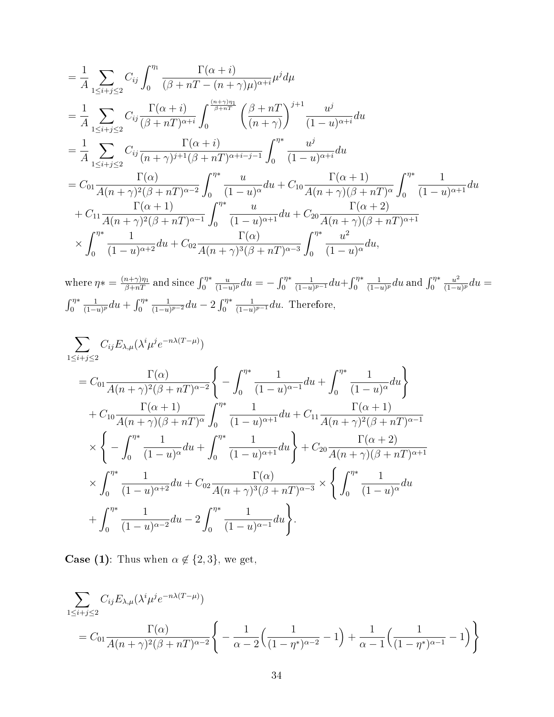$$
\begin{split}\n&= \frac{1}{A} \sum_{1 \leq i+j \leq 2} C_{ij} \int_{0}^{\eta_{1}} \frac{\Gamma(\alpha+i)}{(\beta+nT-(n+\gamma)\mu)^{\alpha+i}} \mu^{j} d\mu \\
&= \frac{1}{A} \sum_{1 \leq i+j \leq 2} C_{ij} \frac{\Gamma(\alpha+i)}{(\beta+nT)^{\alpha+i}} \int_{0}^{\frac{(n+\gamma)\eta_{1}}{\beta+nT}} \left(\frac{\beta+nT}{(n+\gamma)}\right)^{j+1} \frac{u^{j}}{(1-u)^{\alpha+i}} du \\
&= \frac{1}{A} \sum_{1 \leq i+j \leq 2} C_{ij} \frac{\Gamma(\alpha+i)}{(n+\gamma)^{j+1}(\beta+nT)^{\alpha+i-j-1}} \int_{0}^{\eta^{*}} \frac{u^{j}}{(1-u)^{\alpha+i}} du \\
&= C_{01} \frac{\Gamma(\alpha)}{A(n+\gamma)^{2}(\beta+nT)^{\alpha-2}} \int_{0}^{\eta^{*}} \frac{u}{(1-u)^{\alpha}} du + C_{10} \frac{\Gamma(\alpha+1)}{A(n+\gamma)(\beta+nT)^{\alpha}} \int_{0}^{\eta^{*}} \frac{1}{(1-u)^{\alpha+1}} du \\
&+ C_{11} \frac{\Gamma(\alpha+1)}{A(n+\gamma)^{2}(\beta+nT)^{\alpha-1}} \int_{0}^{\eta^{*}} \frac{u}{(1-u)^{\alpha+1}} du + C_{20} \frac{\Gamma(\alpha+2)}{A(n+\gamma)(\beta+nT)^{\alpha+1}} \\
&\times \int_{0}^{\eta^{*}} \frac{1}{(1-u)^{\alpha+2}} du + C_{02} \frac{\Gamma(\alpha)}{A(n+\gamma)^{3}(\beta+nT)^{\alpha-3}} \int_{0}^{\eta^{*}} \frac{u^{2}}{(1-u)^{\alpha}} du,\n\end{split}
$$

where  $\eta* = \frac{(n+\gamma)\eta_1}{\beta+nT}$  and since  $\int_0^{\eta*}$  $\overline{u}$  $\frac{u}{(1-u)^p} du = -\int_0^{\eta*}$ 1  $\frac{1}{(1-u)^{p-1}} du + \int_0^{\eta*}$ 1  $\frac{1}{(1-u)^p} du$  and  $\int_0^{\eta*}$  $u^2$  $\frac{u^2}{(1-u)^p}du =$  $\int_0^{\eta*}$ 1  $\frac{1}{(1-u)^p} du + \int_0^{\eta*}$ 1  $\frac{1}{(1-u)^{p-2}} du - 2 \int_0^{\eta*}$ 1  $\frac{1}{(1-u)^{p-1}}du$ . Therefore,

$$
\sum_{1 \leq i+j \leq 2} C_{ij} E_{\lambda,\mu} (\lambda^{i} \mu^{j} e^{-n\lambda (T-\mu)})
$$
\n
$$
= C_{01} \frac{\Gamma(\alpha)}{A(n+\gamma)^{2}(\beta+nT)^{\alpha-2}} \left\{ -\int_{0}^{\eta^{*}} \frac{1}{(1-u)^{\alpha-1}} du + \int_{0}^{\eta^{*}} \frac{1}{(1-u)^{\alpha}} du \right\}
$$
\n
$$
+ C_{10} \frac{\Gamma(\alpha+1)}{A(n+\gamma)(\beta+nT)^{\alpha}} \int_{0}^{\eta^{*}} \frac{1}{(1-u)^{\alpha+1}} du + C_{11} \frac{\Gamma(\alpha+1)}{A(n+\gamma)^{2}(\beta+nT)^{\alpha-1}} \times \left\{ -\int_{0}^{\eta^{*}} \frac{1}{(1-u)^{\alpha}} du + \int_{0}^{\eta^{*}} \frac{1}{(1-u)^{\alpha+1}} du \right\} + C_{20} \frac{\Gamma(\alpha+2)}{A(n+\gamma)(\beta+nT)^{\alpha+1}} \times \int_{0}^{\eta^{*}} \frac{1}{(1-u)^{\alpha+2}} du + C_{02} \frac{\Gamma(\alpha)}{A(n+\gamma)^{3}(\beta+nT)^{\alpha-3}} \times \left\{ \int_{0}^{\eta^{*}} \frac{1}{(1-u)^{\alpha}} du + \int_{0}^{\eta^{*}} \frac{1}{(1-u)^{\alpha-2}} du - 2 \int_{0}^{\eta^{*}} \frac{1}{(1-u)^{\alpha-1}} du \right\}.
$$

**Case (1):** Thus when  $\alpha \notin \{2, 3\}$ , we get,

$$
\sum_{1 \leq i+j \leq 2} C_{ij} E_{\lambda,\mu} (\lambda^i \mu^j e^{-n\lambda(T-\mu)})
$$
  
=  $C_{01} \frac{\Gamma(\alpha)}{A(n+\gamma)^2 (\beta+nT)^{\alpha-2}} \left\{ -\frac{1}{\alpha-2} \left( \frac{1}{(1-\eta^*)^{\alpha-2}} - 1 \right) + \frac{1}{\alpha-1} \left( \frac{1}{(1-\eta^*)^{\alpha-1}} - 1 \right) \right\}$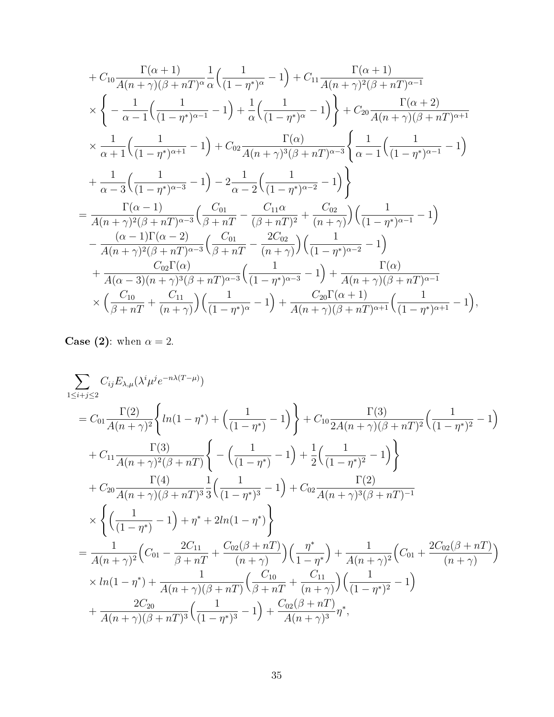$$
+ C_{10} \frac{\Gamma(\alpha+1)}{A(n+\gamma)(\beta+nT)^{\alpha}} \frac{1}{\alpha} \Big( \frac{1}{(1-\eta^{*})^{\alpha}} - 1 \Big) + C_{11} \frac{\Gamma(\alpha+1)}{A(n+\gamma)^{2}(\beta+nT)^{\alpha-1}} \times \Big\{ - \frac{1}{\alpha-1} \Big( \frac{1}{(1-\eta^{*})^{\alpha-1}} - 1 \Big) + \frac{1}{\alpha} \Big( \frac{1}{(1-\eta^{*})^{\alpha}} - 1 \Big) \Big\} + C_{20} \frac{\Gamma(\alpha+2)}{A(n+\gamma)(\beta+nT)^{\alpha+1}} \times \frac{1}{\alpha+1} \Big( \frac{1}{(1-\eta^{*})^{\alpha+1}} - 1 \Big) + C_{02} \frac{\Gamma(\alpha)}{A(n+\gamma)^{3}(\beta+nT)^{\alpha-3}} \Big\{ \frac{1}{\alpha-1} \Big( \frac{1}{(1-\eta^{*})^{\alpha-1}} - 1 \Big) \times \frac{1}{\alpha-3} \Big( \frac{1}{(1-\eta^{*})^{\alpha-3}} - 1 \Big) - 2 \frac{1}{\alpha-2} \Big( \frac{1}{(1-\eta^{*})^{\alpha-2}} - 1 \Big) \Big\} = \frac{\Gamma(\alpha-1)}{A(n+\gamma)^{2}(\beta+nT)^{\alpha-3}} \Big( \frac{C_{01}}{\beta+nT} - \frac{C_{11}\alpha}{(\beta+nT)^{2}} + \frac{C_{02}}{(n+\gamma)} \Big) \Big( \frac{1}{(1-\eta^{*})^{\alpha-1}} - 1 \Big) - \frac{(\alpha-1)\Gamma(\alpha-2)}{A(n+\gamma)^{2}(\beta+nT)^{\alpha-3}} \Big( \frac{C_{01}}{\beta+nT} - \frac{2C_{02}}{(n+\gamma)} \Big) \Big( \frac{1}{(1-\eta^{*})^{\alpha-2}} - 1 \Big) + \frac{C_{02}\Gamma(\alpha)}{A(\alpha-3)(n+\gamma)^{3}(\beta+nT)^{\alpha-3}} \Big( \frac{1}{(1-\eta^{*})^{\alpha-3}} - 1 \Big) + \frac{\Gamma(\alpha)}{A(n+\gamma)(\beta+nT)^{\alpha-1}} \times \Big( \frac{C_{10}}{\beta+nT} + \frac{C_{11}}{(n+\gamma)} \Big) \Big( \frac{1}{(1-\eta^{*})
$$

**Case (2):** when  $\alpha = 2$ .

$$
\sum_{1 \leq i+j \leq 2} C_{ij} E_{\lambda,\mu} (\lambda^{i} \mu^{j} e^{-n\lambda (T-\mu)})
$$
\n
$$
= C_{01} \frac{\Gamma(2)}{A(n+\gamma)^{2}} \left\{ ln(1-\eta^{*}) + \left(\frac{1}{(1-\eta^{*})}-1\right) \right\} + C_{10} \frac{\Gamma(3)}{2A(n+\gamma)(\beta+nT)^{2}} \left(\frac{1}{(1-\eta^{*})^{2}}-1\right)
$$
\n
$$
+ C_{11} \frac{\Gamma(3)}{A(n+\gamma)^{2}(\beta+nT)} \left\{ -\left(\frac{1}{(1-\eta^{*})}-1\right) + \frac{1}{2} \left(\frac{1}{(1-\eta^{*})^{2}}-1\right) \right\}
$$
\n
$$
+ C_{20} \frac{\Gamma(4)}{A(n+\gamma)(\beta+nT)^{3}} \frac{1}{3} \left(\frac{1}{(1-\eta^{*})^{3}}-1\right) + C_{02} \frac{\Gamma(2)}{A(n+\gamma)^{3}(\beta+nT)^{-1}}
$$
\n
$$
\times \left\{ \left(\frac{1}{(1-\eta^{*})}-1\right) + \eta^{*} + 2ln(1-\eta^{*}) \right\}
$$
\n
$$
= \frac{1}{A(n+\gamma)^{2}} \left(C_{01} - \frac{2C_{11}}{\beta+nT} + \frac{C_{02}(\beta+nT)}{(n+\gamma)}\right) \left(\frac{\eta^{*}}{1-\eta^{*}}\right) + \frac{1}{A(n+\gamma)^{2}} \left(C_{01} + \frac{2C_{02}(\beta+nT)}{(n+\gamma)}\right)
$$
\n
$$
\times ln(1-\eta^{*}) + \frac{1}{A(n+\gamma)(\beta+nT)} \left(\frac{C_{10}}{\beta+nT} + \frac{C_{11}}{(n+\gamma)}\right) \left(\frac{1}{(1-\eta^{*})^{2}}-1\right)
$$
\n
$$
+ \frac{2C_{20}}{A(n+\gamma)(\beta+nT)^{3}} \left(\frac{1}{(1-\eta^{*})^{3}}-1\right) + \frac{C_{02}(\beta+nT)}{A(n+\gamma)^{3}} \eta^{*},
$$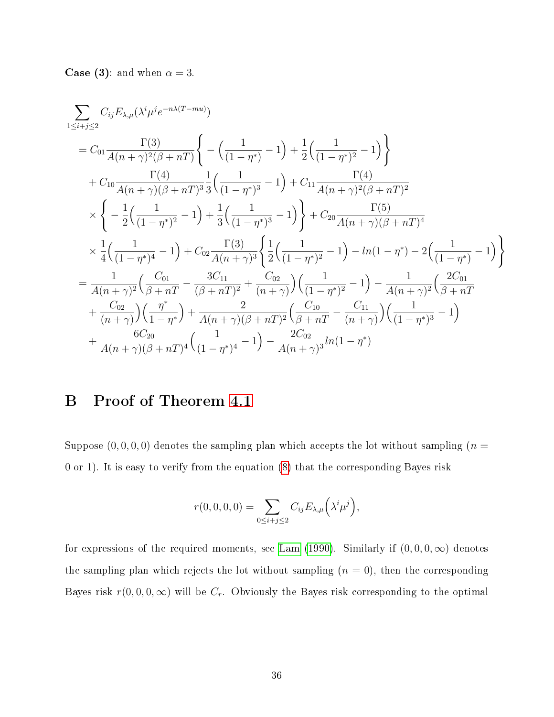**Case (3):** and when  $\alpha = 3$ .

$$
\sum_{1 \leq i+j \leq 2} C_{ij} E_{\lambda,\mu} (\lambda^{i} \mu^{j} e^{-n\lambda (T-mu)})
$$
\n
$$
= C_{01} \frac{\Gamma(3)}{A(n+\gamma)^{2}(\beta+nT)} \left\{ -\left(\frac{1}{(1-\eta^{*})} - 1\right) + \frac{1}{2} \left(\frac{1}{(1-\eta^{*})^{2}} - 1\right) \right\}
$$
\n
$$
+ C_{10} \frac{\Gamma(4)}{A(n+\gamma)(\beta+nT)^{3}} \frac{1}{3} \left(\frac{1}{(1-\eta^{*})^{3}} - 1\right) + C_{11} \frac{\Gamma(4)}{A(n+\gamma)^{2}(\beta+nT)^{2}}
$$
\n
$$
\times \left\{ -\frac{1}{2} \left(\frac{1}{(1-\eta^{*})^{2}} - 1\right) + \frac{1}{3} \left(\frac{1}{(1-\eta^{*})^{3}} - 1\right) \right\} + C_{20} \frac{\Gamma(5)}{A(n+\gamma)(\beta+nT)^{4}}
$$
\n
$$
\times \frac{1}{4} \left(\frac{1}{(1-\eta^{*})^{4}} - 1\right) + C_{02} \frac{\Gamma(3)}{A(n+\gamma)^{3}} \left\{ \frac{1}{2} \left(\frac{1}{(1-\eta^{*})^{2}} - 1\right) - \ln(1-\eta^{*}) - 2 \left(\frac{1}{(1-\eta^{*})} - 1\right) \right\}
$$
\n
$$
= \frac{1}{A(n+\gamma)^{2}} \left(\frac{C_{01}}{\beta+nT} - \frac{3C_{11}}{(\beta+nT)^{2}} + \frac{C_{02}}{(n+\gamma)}\right) \left(\frac{1}{(1-\eta^{*})^{2}} - 1\right) - \frac{1}{A(n+\gamma)^{2}} \left(\frac{2C_{01}}{\beta+nT} + \frac{C_{02}}{(n+\gamma)}\right) \left(\frac{\eta^{*}}{1-\eta^{*}}\right) + \frac{2}{A(n+\gamma)(\beta+nT)^{2}} \left(\frac{C_{10}}{\beta+nT} - \frac{C_{11}}{(n+\gamma)}\right) \left(\frac{1}{(1-\eta^{*})^{3}} - 1\right)
$$
\n
$$
+ \frac{6C_{20}}{A(n+\gamma)(\beta+nT)^{4}} \left(\frac{1}{(1
$$

# <span id="page-35-0"></span>B Proof of Theorem [4.1](#page-11-1)

Suppose  $(0, 0, 0, 0)$  denotes the sampling plan which accepts the lot without sampling  $(n =$ 0 or 1). It is easy to verify from the equation [\(8\)](#page-20-3) that the corresponding Bayes risk

$$
r(0,0,0,0)=\sum_{0\leq i+j\leq 2}C_{ij}E_{\lambda,\mu}(\lambda^i\mu^j),
$$

for expressions of the required moments, see [Lam](#page-18-0) [\(1990\)](#page-18-0). Similarly if  $(0,0,0,\infty)$  denotes the sampling plan which rejects the lot without sampling  $(n = 0)$ , then the corresponding Bayes risk  $r(0, 0, 0, \infty)$  will be  $C_r$ . Obviously the Bayes risk corresponding to the optimal